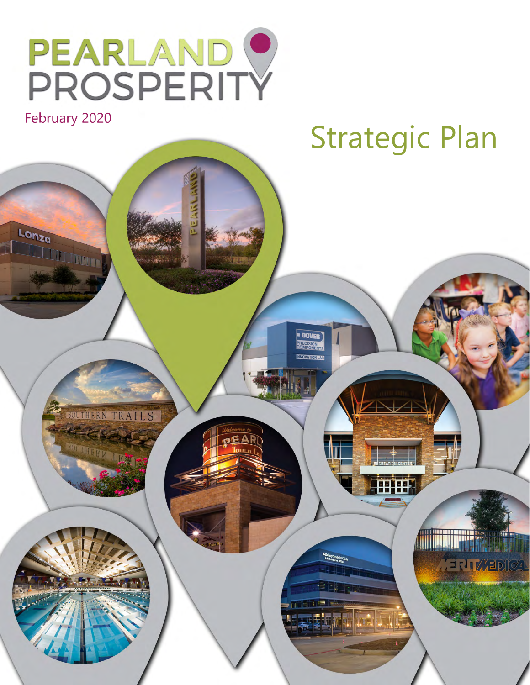

Lonza

anza

# February 2020<br>
Strategic Plan





**TEP EP** 

**MENTWEDICAL** 

**DOVER**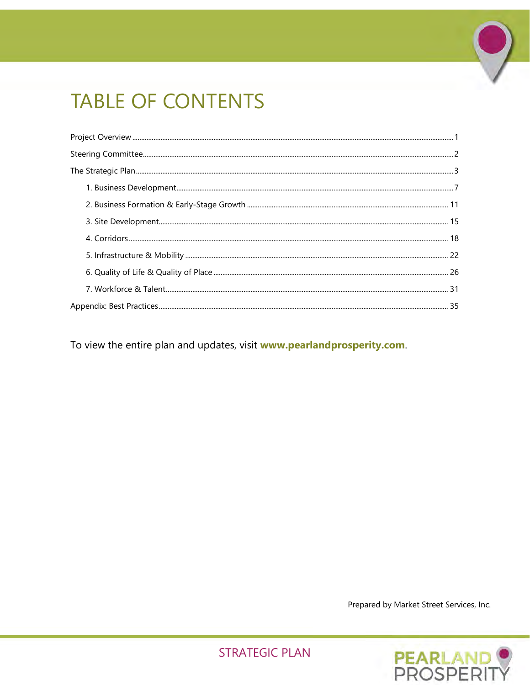# **TABLE OF CONTENTS**

To view the entire plan and updates, visit www.pearlandprosperity.com.

Prepared by Market Street Services, Inc.

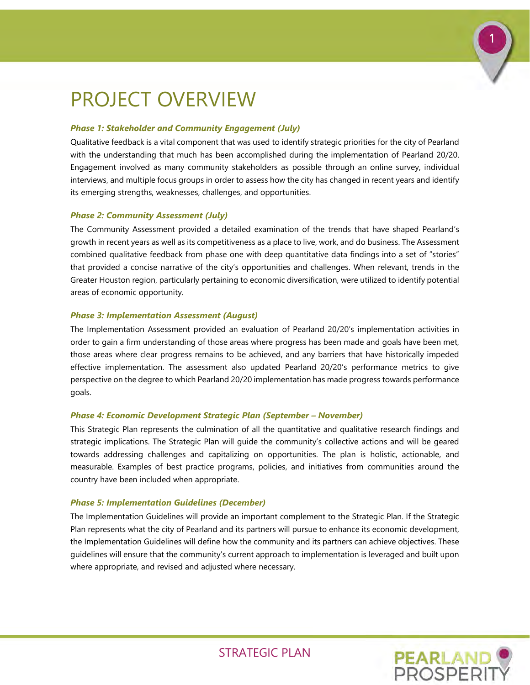

# <span id="page-2-0"></span>PROJECT OVERVIEW

### *Phase 1: Stakeholder and Community Engagement (July)*

Qualitative feedback is a vital component that was used to identify strategic priorities for the city of Pearland with the understanding that much has been accomplished during the implementation of Pearland 20/20. Engagement involved as many community stakeholders as possible through an online survey, individual interviews, and multiple focus groups in order to assess how the city has changed in recent years and identify its emerging strengths, weaknesses, challenges, and opportunities.

### *Phase 2: Community Assessment (July)*

The Community Assessment provided a detailed examination of the trends that have shaped Pearland's growth in recent years as well as its competitiveness as a place to live, work, and do business. The Assessment combined qualitative feedback from phase one with deep quantitative data findings into a set of "stories" that provided a concise narrative of the city's opportunities and challenges. When relevant, trends in the Greater Houston region, particularly pertaining to economic diversification, were utilized to identify potential areas of economic opportunity.

### *Phase 3: Implementation Assessment (August)*

The Implementation Assessment provided an evaluation of Pearland 20/20's implementation activities in order to gain a firm understanding of those areas where progress has been made and goals have been met, those areas where clear progress remains to be achieved, and any barriers that have historically impeded effective implementation. The assessment also updated Pearland 20/20's performance metrics to give perspective on the degree to which Pearland 20/20 implementation has made progress towards performance goals.

### *Phase 4: Economic Development Strategic Plan (September – November)*

This Strategic Plan represents the culmination of all the quantitative and qualitative research findings and strategic implications. The Strategic Plan will guide the community's collective actions and will be geared towards addressing challenges and capitalizing on opportunities. The plan is holistic, actionable, and measurable. Examples of best practice programs, policies, and initiatives from communities around the country have been included when appropriate.

### *Phase 5: Implementation Guidelines (December)*

The Implementation Guidelines will provide an important complement to the Strategic Plan. If the Strategic Plan represents what the city of Pearland and its partners will pursue to enhance its economic development, the Implementation Guidelines will define how the community and its partners can achieve objectives. These guidelines will ensure that the community's current approach to implementation is leveraged and built upon where appropriate, and revised and adjusted where necessary.

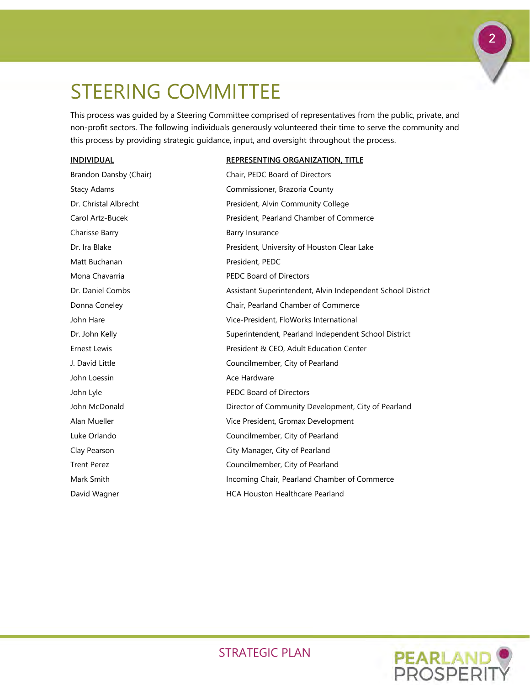# <span id="page-3-0"></span>STEERING COMMITTEE

This process was guided by a Steering Committee comprised of representatives from the public, private, and non-profit sectors. The following individuals generously volunteered their time to serve the community and this process by providing strategic guidance, input, and oversight throughout the process.

### **INDIVIDUAL REPRESENTING ORGANIZATION, TITLE**

| Brandon Dansby (Chair) | Chair, PEDC Board of Directors                              |
|------------------------|-------------------------------------------------------------|
| <b>Stacy Adams</b>     | Commissioner, Brazoria County                               |
| Dr. Christal Albrecht  | President, Alvin Community College                          |
| Carol Artz-Bucek       | President, Pearland Chamber of Commerce                     |
| Charisse Barry         | Barry Insurance                                             |
| Dr. Ira Blake          | President, University of Houston Clear Lake                 |
| Matt Buchanan          | President, PEDC                                             |
| Mona Chavarria         | <b>PEDC Board of Directors</b>                              |
| Dr. Daniel Combs       | Assistant Superintendent, Alvin Independent School District |
| Donna Coneley          | Chair, Pearland Chamber of Commerce                         |
| John Hare              | Vice-President, FloWorks International                      |
| Dr. John Kelly         | Superintendent, Pearland Independent School District        |
| <b>Ernest Lewis</b>    | President & CEO, Adult Education Center                     |
| J. David Little        | Councilmember, City of Pearland                             |
| John Loessin           | Ace Hardware                                                |
| John Lyle              | <b>PEDC Board of Directors</b>                              |
| John McDonald          | Director of Community Development, City of Pearland         |
| Alan Mueller           | Vice President, Gromax Development                          |
| Luke Orlando           | Councilmember, City of Pearland                             |
| Clay Pearson           | City Manager, City of Pearland                              |
| <b>Trent Perez</b>     | Councilmember, City of Pearland                             |
| Mark Smith             | Incoming Chair, Pearland Chamber of Commerce                |
| David Wagner           | <b>HCA Houston Healthcare Pearland</b>                      |



2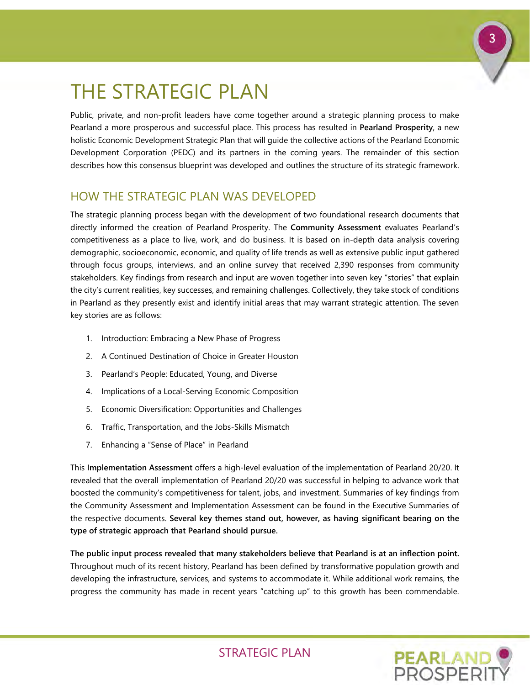# <span id="page-4-0"></span>THE STRATEGIC PLAN

Public, private, and non-profit leaders have come together around a strategic planning process to make Pearland a more prosperous and successful place. This process has resulted in **Pearland Prosperity**, a new holistic Economic Development Strategic Plan that will guide the collective actions of the Pearland Economic Development Corporation (PEDC) and its partners in the coming years. The remainder of this section describes how this consensus blueprint was developed and outlines the structure of its strategic framework.

### HOW THE STRATEGIC PLAN WAS DFVFI OPFD

The strategic planning process began with the development of two foundational research documents that directly informed the creation of Pearland Prosperity. The **Community Assessment** evaluates Pearland's competitiveness as a place to live, work, and do business. It is based on in-depth data analysis covering demographic, socioeconomic, economic, and quality of life trends as well as extensive public input gathered through focus groups, interviews, and an online survey that received 2,390 responses from community stakeholders. Key findings from research and input are woven together into seven key "stories" that explain the city's current realities, key successes, and remaining challenges. Collectively, they take stock of conditions in Pearland as they presently exist and identify initial areas that may warrant strategic attention. The seven key stories are as follows:

- 1. Introduction: Embracing a New Phase of Progress
- 2. A Continued Destination of Choice in Greater Houston
- 3. Pearland's People: Educated, Young, and Diverse
- 4. Implications of a Local-Serving Economic Composition
- 5. Economic Diversification: Opportunities and Challenges
- 6. Traffic, Transportation, and the Jobs-Skills Mismatch
- 7. Enhancing a "Sense of Place" in Pearland

This **Implementation Assessment** offers a high-level evaluation of the implementation of Pearland 20/20. It revealed that the overall implementation of Pearland 20/20 was successful in helping to advance work that boosted the community's competitiveness for talent, jobs, and investment. Summaries of key findings from the Community Assessment and Implementation Assessment can be found in the Executive Summaries of the respective documents. **Several key themes stand out, however, as having significant bearing on the type of strategic approach that Pearland should pursue.**

**The public input process revealed that many stakeholders believe that Pearland is at an inflection point.** Throughout much of its recent history, Pearland has been defined by transformative population growth and developing the infrastructure, services, and systems to accommodate it. While additional work remains, the progress the community has made in recent years "catching up" to this growth has been commendable.

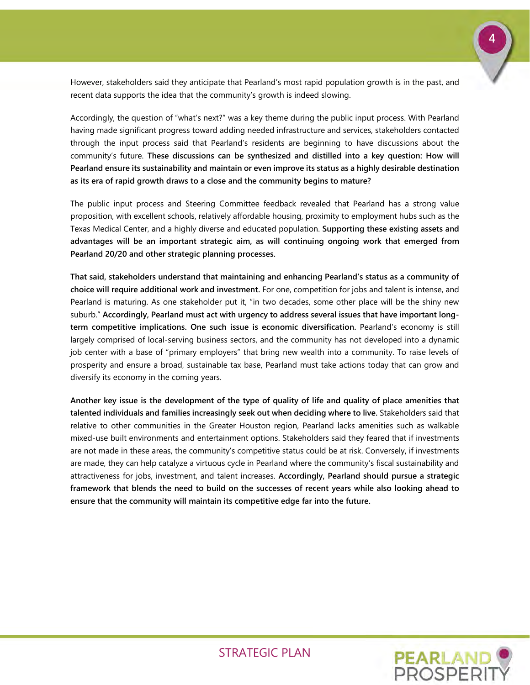

Accordingly, the question of "what's next?" was a key theme during the public input process. With Pearland having made significant progress toward adding needed infrastructure and services, stakeholders contacted through the input process said that Pearland's residents are beginning to have discussions about the community's future. **These discussions can be synthesized and distilled into a key question: How will Pearland ensure its sustainability and maintain or even improve its status as a highly desirable destination as its era of rapid growth draws to a close and the community begins to mature?**

The public input process and Steering Committee feedback revealed that Pearland has a strong value proposition, with excellent schools, relatively affordable housing, proximity to employment hubs such as the Texas Medical Center, and a highly diverse and educated population. **Supporting these existing assets and advantages will be an important strategic aim, as will continuing ongoing work that emerged from Pearland 20/20 and other strategic planning processes.** 

**That said, stakeholders understand that maintaining and enhancing Pearland's status as a community of choice will require additional work and investment.** For one, competition for jobs and talent is intense, and Pearland is maturing. As one stakeholder put it, "in two decades, some other place will be the shiny new suburb." **Accordingly, Pearland must act with urgency to address several issues that have important longterm competitive implications. One such issue is economic diversification.** Pearland's economy is still largely comprised of local-serving business sectors, and the community has not developed into a dynamic job center with a base of "primary employers" that bring new wealth into a community. To raise levels of prosperity and ensure a broad, sustainable tax base, Pearland must take actions today that can grow and diversify its economy in the coming years.

**Another key issue is the development of the type of quality of life and quality of place amenities that talented individuals and families increasingly seek out when deciding where to live.** Stakeholders said that relative to other communities in the Greater Houston region, Pearland lacks amenities such as walkable mixed-use built environments and entertainment options. Stakeholders said they feared that if investments are not made in these areas, the community's competitive status could be at risk. Conversely, if investments are made, they can help catalyze a virtuous cycle in Pearland where the community's fiscal sustainability and attractiveness for jobs, investment, and talent increases. **Accordingly, Pearland should pursue a strategic framework that blends the need to build on the successes of recent years while also looking ahead to ensure that the community will maintain its competitive edge far into the future.**

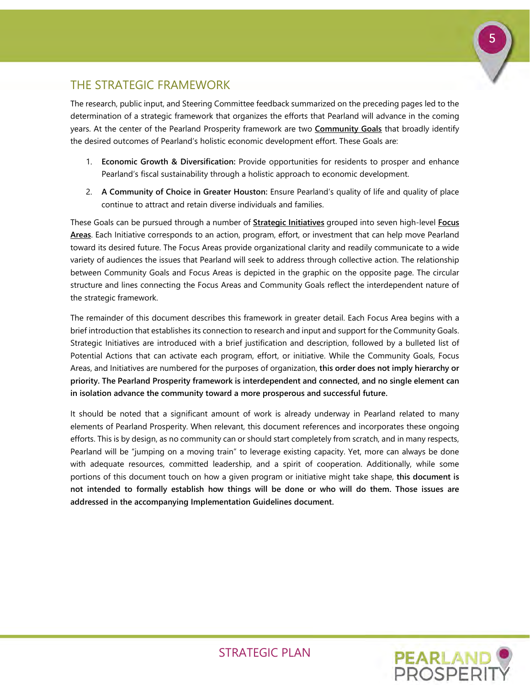

### THE STRATEGIC FRAMEWORK

The research, public input, and Steering Committee feedback summarized on the preceding pages led to the determination of a strategic framework that organizes the efforts that Pearland will advance in the coming years. At the center of the Pearland Prosperity framework are two **Community Goals** that broadly identify the desired outcomes of Pearland's holistic economic development effort. These Goals are:

- 1. **Economic Growth & Diversification:** Provide opportunities for residents to prosper and enhance Pearland's fiscal sustainability through a holistic approach to economic development.
- 2. **A Community of Choice in Greater Houston:** Ensure Pearland's quality of life and quality of place continue to attract and retain diverse individuals and families.

These Goals can be pursued through a number of **Strategic Initiatives** grouped into seven high-level **Focus Areas**. Each Initiative corresponds to an action, program, effort, or investment that can help move Pearland toward its desired future. The Focus Areas provide organizational clarity and readily communicate to a wide variety of audiences the issues that Pearland will seek to address through collective action. The relationship between Community Goals and Focus Areas is depicted in the graphic on the opposite page. The circular structure and lines connecting the Focus Areas and Community Goals reflect the interdependent nature of the strategic framework.

The remainder of this document describes this framework in greater detail. Each Focus Area begins with a brief introduction that establishes its connection to research and input and support for the Community Goals. Strategic Initiatives are introduced with a brief justification and description, followed by a bulleted list of Potential Actions that can activate each program, effort, or initiative. While the Community Goals, Focus Areas, and Initiatives are numbered for the purposes of organization, **this order does not imply hierarchy or priority. The Pearland Prosperity framework is interdependent and connected, and no single element can in isolation advance the community toward a more prosperous and successful future.**

It should be noted that a significant amount of work is already underway in Pearland related to many elements of Pearland Prosperity. When relevant, this document references and incorporates these ongoing efforts. This is by design, as no community can or should start completely from scratch, and in many respects, Pearland will be "jumping on a moving train" to leverage existing capacity. Yet, more can always be done with adequate resources, committed leadership, and a spirit of cooperation. Additionally, while some portions of this document touch on how a given program or initiative might take shape, **this document is not intended to formally establish how things will be done or who will do them. Those issues are addressed in the accompanying Implementation Guidelines document.**

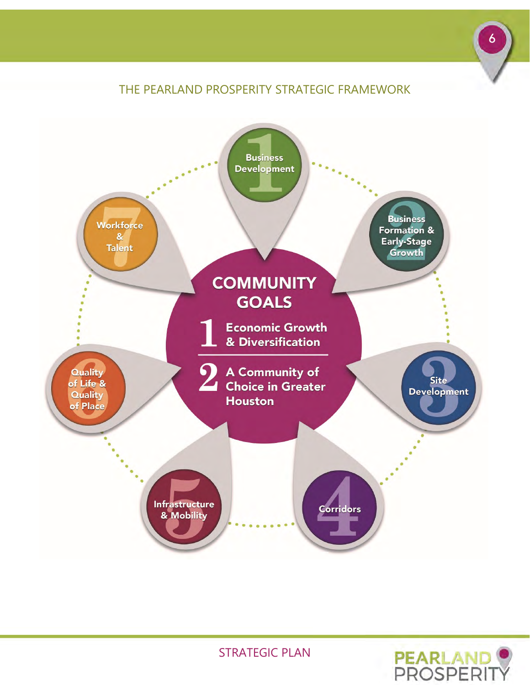# THE PEARLAND PROSPERITY STRATEGIC FRAMEWORK



STRATEGIC PLAN



6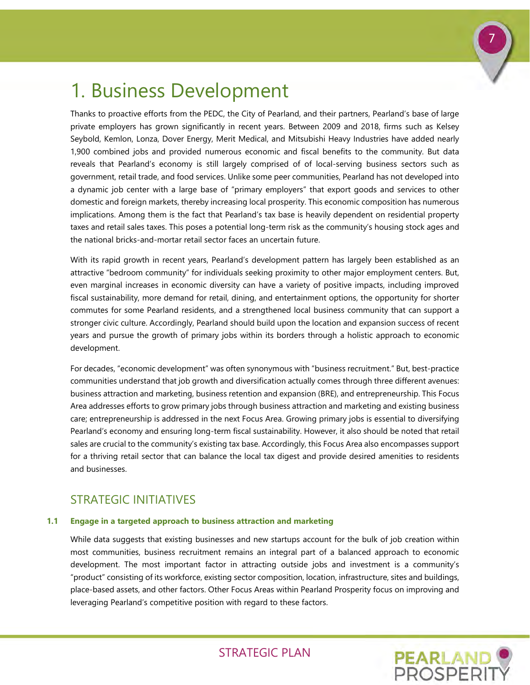

# <span id="page-8-0"></span>1. Business Development

Thanks to proactive efforts from the PEDC, the City of Pearland, and their partners, Pearland's base of large private employers has grown significantly in recent years. Between 2009 and 2018, firms such as Kelsey Seybold, Kemlon, Lonza, Dover Energy, Merit Medical, and Mitsubishi Heavy Industries have added nearly 1,900 combined jobs and provided numerous economic and fiscal benefits to the community. But data reveals that Pearland's economy is still largely comprised of of local-serving business sectors such as government, retail trade, and food services. Unlike some peer communities, Pearland has not developed into a dynamic job center with a large base of "primary employers" that export goods and services to other domestic and foreign markets, thereby increasing local prosperity. This economic composition has numerous implications. Among them is the fact that Pearland's tax base is heavily dependent on residential property taxes and retail sales taxes. This poses a potential long-term risk as the community's housing stock ages and the national bricks-and-mortar retail sector faces an uncertain future.

With its rapid growth in recent years, Pearland's development pattern has largely been established as an attractive "bedroom community" for individuals seeking proximity to other major employment centers. But, even marginal increases in economic diversity can have a variety of positive impacts, including improved fiscal sustainability, more demand for retail, dining, and entertainment options, the opportunity for shorter commutes for some Pearland residents, and a strengthened local business community that can support a stronger civic culture. Accordingly, Pearland should build upon the location and expansion success of recent years and pursue the growth of primary jobs within its borders through a holistic approach to economic development.

For decades, "economic development" was often synonymous with "business recruitment." But, best-practice communities understand that job growth and diversification actually comes through three different avenues: business attraction and marketing, business retention and expansion (BRE), and entrepreneurship. This Focus Area addresses efforts to grow primary jobs through business attraction and marketing and existing business care; entrepreneurship is addressed in the next Focus Area. Growing primary jobs is essential to diversifying Pearland's economy and ensuring long-term fiscal sustainability. However, it also should be noted that retail sales are crucial to the community's existing tax base. Accordingly, this Focus Area also encompasses support for a thriving retail sector that can balance the local tax digest and provide desired amenities to residents and businesses.

# STRATEGIC INITIATIVES

### **1.1 Engage in a targeted approach to business attraction and marketing**

While data suggests that existing businesses and new startups account for the bulk of job creation within most communities, business recruitment remains an integral part of a balanced approach to economic development. The most important factor in attracting outside jobs and investment is a community's "product" consisting of its workforce, existing sector composition, location, infrastructure, sites and buildings, place-based assets, and other factors. Other Focus Areas within Pearland Prosperity focus on improving and leveraging Pearland's competitive position with regard to these factors.

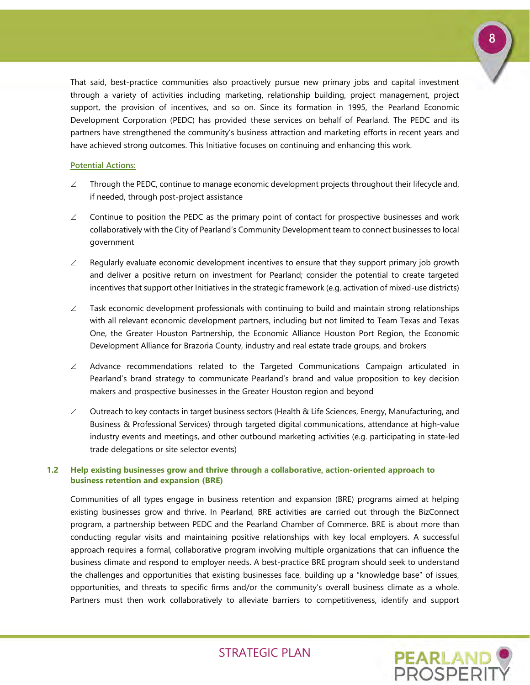

That said, best-practice communities also proactively pursue new primary jobs and capital investment through a variety of activities including marketing, relationship building, project management, project support, the provision of incentives, and so on. Since its formation in 1995, the Pearland Economic Development Corporation (PEDC) has provided these services on behalf of Pearland. The PEDC and its partners have strengthened the community's business attraction and marketing efforts in recent years and have achieved strong outcomes. This Initiative focuses on continuing and enhancing this work.

### **Potential Actions:**

- $\angle$  Through the PEDC, continue to manage economic development projects throughout their lifecycle and, if needed, through post-project assistance
- $\angle$  Continue to position the PEDC as the primary point of contact for prospective businesses and work collaboratively with the City of Pearland's Community Development team to connect businesses to local government
- $\angle$  Regularly evaluate economic development incentives to ensure that they support primary job growth and deliver a positive return on investment for Pearland; consider the potential to create targeted incentives that support other Initiatives in the strategic framework (e.g. activation of mixed-use districts)
- $\angle$  Task economic development professionals with continuing to build and maintain strong relationships with all relevant economic development partners, including but not limited to Team Texas and Texas One, the Greater Houston Partnership, the Economic Alliance Houston Port Region, the Economic Development Alliance for Brazoria County, industry and real estate trade groups, and brokers
- $\angle$  Advance recommendations related to the Targeted Communications Campaign articulated in Pearland's brand strategy to communicate Pearland's brand and value proposition to key decision makers and prospective businesses in the Greater Houston region and beyond
- $\angle$  Outreach to key contacts in target business sectors (Health & Life Sciences, Energy, Manufacturing, and Business & Professional Services) through targeted digital communications, attendance at high-value industry events and meetings, and other outbound marketing activities (e.g. participating in state-led trade delegations or site selector events)

### **1.2 Help existing businesses grow and thrive through a collaborative, action-oriented approach to business retention and expansion (BRE)**

Communities of all types engage in business retention and expansion (BRE) programs aimed at helping existing businesses grow and thrive. In Pearland, BRE activities are carried out through the BizConnect program, a partnership between PEDC and the Pearland Chamber of Commerce. BRE is about more than conducting regular visits and maintaining positive relationships with key local employers. A successful approach requires a formal, collaborative program involving multiple organizations that can influence the business climate and respond to employer needs. A best-practice BRE program should seek to understand the challenges and opportunities that existing businesses face, building up a "knowledge base" of issues, opportunities, and threats to specific firms and/or the community's overall business climate as a whole. Partners must then work collaboratively to alleviate barriers to competitiveness, identify and support

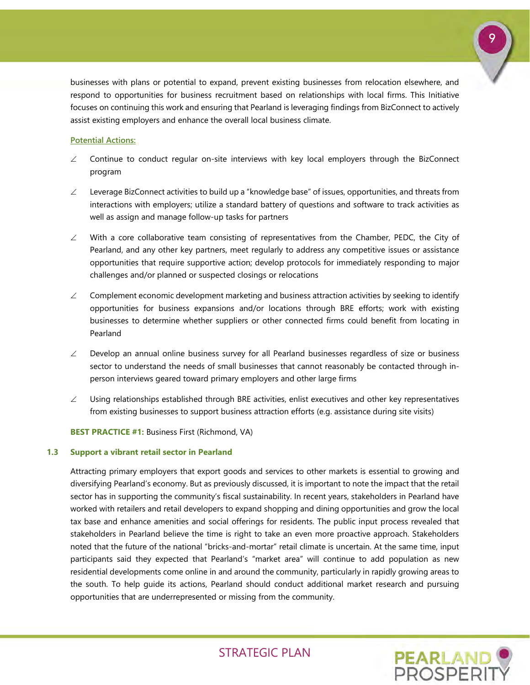

businesses with plans or potential to expand, prevent existing businesses from relocation elsewhere, and respond to opportunities for business recruitment based on relationships with local firms. This Initiative focuses on continuing this work and ensuring that Pearland is leveraging findings from BizConnect to actively assist existing employers and enhance the overall local business climate.

### **Potential Actions:**

- $\angle$  Continue to conduct regular on-site interviews with key local employers through the BizConnect program
- ∠ Leverage BizConnect activities to build up a "knowledge base" of issues, opportunities, and threats from interactions with employers; utilize a standard battery of questions and software to track activities as well as assign and manage follow-up tasks for partners
- $\angle$  With a core collaborative team consisting of representatives from the Chamber, PEDC, the City of Pearland, and any other key partners, meet regularly to address any competitive issues or assistance opportunities that require supportive action; develop protocols for immediately responding to major challenges and/or planned or suspected closings or relocations
- $\angle$  Complement economic development marketing and business attraction activities by seeking to identify opportunities for business expansions and/or locations through BRE efforts; work with existing businesses to determine whether suppliers or other connected firms could benefit from locating in Pearland
- $\angle$  Develop an annual online business survey for all Pearland businesses regardless of size or business sector to understand the needs of small businesses that cannot reasonably be contacted through inperson interviews geared toward primary employers and other large firms
- $\angle$  Using relationships established through BRE activities, enlist executives and other key representatives from existing businesses to support business attraction efforts (e.g. assistance during site visits)

**BEST PRACTICE #1:** Business First (Richmond, VA)

### **1.3 Support a vibrant retail sector in Pearland**

Attracting primary employers that export goods and services to other markets is essential to growing and diversifying Pearland's economy. But as previously discussed, it is important to note the impact that the retail sector has in supporting the community's fiscal sustainability. In recent years, stakeholders in Pearland have worked with retailers and retail developers to expand shopping and dining opportunities and grow the local tax base and enhance amenities and social offerings for residents. The public input process revealed that stakeholders in Pearland believe the time is right to take an even more proactive approach. Stakeholders noted that the future of the national "bricks-and-mortar" retail climate is uncertain. At the same time, input participants said they expected that Pearland's "market area" will continue to add population as new residential developments come online in and around the community, particularly in rapidly growing areas to the south. To help guide its actions, Pearland should conduct additional market research and pursuing opportunities that are underrepresented or missing from the community.

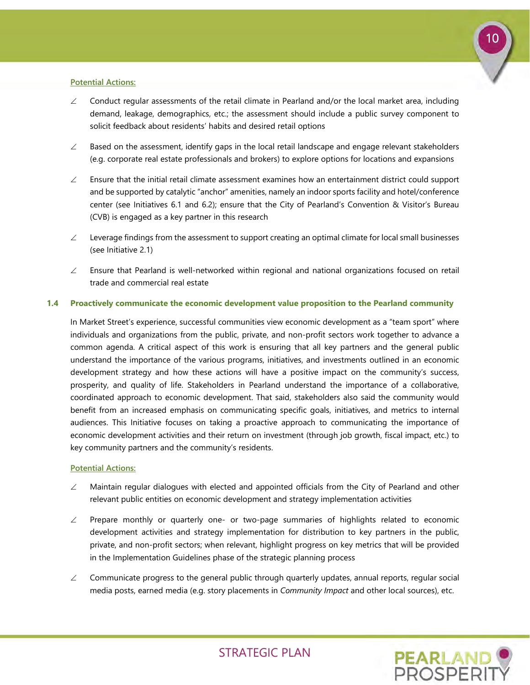

### **Potential Actions:**

- ∠ Conduct regular assessments of the retail climate in Pearland and/or the local market area, including demand, leakage, demographics, etc.; the assessment should include a public survey component to solicit feedback about residents' habits and desired retail options
- $\angle$  Based on the assessment, identify gaps in the local retail landscape and engage relevant stakeholders (e.g. corporate real estate professionals and brokers) to explore options for locations and expansions
- $\angle$  Ensure that the initial retail climate assessment examines how an entertainment district could support and be supported by catalytic "anchor" amenities, namely an indoor sports facility and hotel/conference center (see Initiatives 6.1 and 6.2); ensure that the City of Pearland's Convention & Visitor's Bureau (CVB) is engaged as a key partner in this research
- $\angle$  Leverage findings from the assessment to support creating an optimal climate for local small businesses (see Initiative 2.1)
- ∠ Ensure that Pearland is well-networked within regional and national organizations focused on retail trade and commercial real estate

### **1.4 Proactively communicate the economic development value proposition to the Pearland community**

In Market Street's experience, successful communities view economic development as a "team sport" where individuals and organizations from the public, private, and non-profit sectors work together to advance a common agenda. A critical aspect of this work is ensuring that all key partners and the general public understand the importance of the various programs, initiatives, and investments outlined in an economic development strategy and how these actions will have a positive impact on the community's success, prosperity, and quality of life. Stakeholders in Pearland understand the importance of a collaborative, coordinated approach to economic development. That said, stakeholders also said the community would benefit from an increased emphasis on communicating specific goals, initiatives, and metrics to internal audiences. This Initiative focuses on taking a proactive approach to communicating the importance of economic development activities and their return on investment (through job growth, fiscal impact, etc.) to key community partners and the community's residents.

### **Potential Actions:**

- $\angle$  Maintain regular dialogues with elected and appointed officials from the City of Pearland and other relevant public entities on economic development and strategy implementation activities
- $\angle$  Prepare monthly or quarterly one- or two-page summaries of highlights related to economic development activities and strategy implementation for distribution to key partners in the public, private, and non-profit sectors; when relevant, highlight progress on key metrics that will be provided in the Implementation Guidelines phase of the strategic planning process
- $\angle$  Communicate progress to the general public through quarterly updates, annual reports, regular social media posts, earned media (e.g. story placements in *Community Impact* and other local sources), etc.

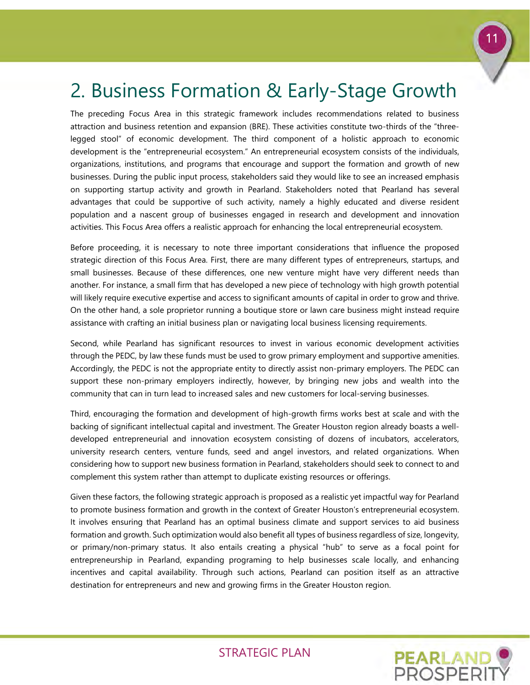

# <span id="page-12-0"></span>2. Business Formation & Early-Stage Growth

The preceding Focus Area in this strategic framework includes recommendations related to business attraction and business retention and expansion (BRE). These activities constitute two-thirds of the "threelegged stool" of economic development. The third component of a holistic approach to economic development is the "entrepreneurial ecosystem." An entrepreneurial ecosystem consists of the individuals, organizations, institutions, and programs that encourage and support the formation and growth of new businesses. During the public input process, stakeholders said they would like to see an increased emphasis on supporting startup activity and growth in Pearland. Stakeholders noted that Pearland has several advantages that could be supportive of such activity, namely a highly educated and diverse resident population and a nascent group of businesses engaged in research and development and innovation activities. This Focus Area offers a realistic approach for enhancing the local entrepreneurial ecosystem.

Before proceeding, it is necessary to note three important considerations that influence the proposed strategic direction of this Focus Area. First, there are many different types of entrepreneurs, startups, and small businesses. Because of these differences, one new venture might have very different needs than another. For instance, a small firm that has developed a new piece of technology with high growth potential will likely require executive expertise and access to significant amounts of capital in order to grow and thrive. On the other hand, a sole proprietor running a boutique store or lawn care business might instead require assistance with crafting an initial business plan or navigating local business licensing requirements.

Second, while Pearland has significant resources to invest in various economic development activities through the PEDC, by law these funds must be used to grow primary employment and supportive amenities. Accordingly, the PEDC is not the appropriate entity to directly assist non-primary employers. The PEDC can support these non-primary employers indirectly, however, by bringing new jobs and wealth into the community that can in turn lead to increased sales and new customers for local-serving businesses.

Third, encouraging the formation and development of high-growth firms works best at scale and with the backing of significant intellectual capital and investment. The Greater Houston region already boasts a welldeveloped entrepreneurial and innovation ecosystem consisting of dozens of incubators, accelerators, university research centers, venture funds, seed and angel investors, and related organizations. When considering how to support new business formation in Pearland, stakeholders should seek to connect to and complement this system rather than attempt to duplicate existing resources or offerings.

Given these factors, the following strategic approach is proposed as a realistic yet impactful way for Pearland to promote business formation and growth in the context of Greater Houston's entrepreneurial ecosystem. It involves ensuring that Pearland has an optimal business climate and support services to aid business formation and growth. Such optimization would also benefit all types of business regardless of size, longevity, or primary/non-primary status. It also entails creating a physical "hub" to serve as a focal point for entrepreneurship in Pearland, expanding programing to help businesses scale locally, and enhancing incentives and capital availability. Through such actions, Pearland can position itself as an attractive destination for entrepreneurs and new and growing firms in the Greater Houston region.

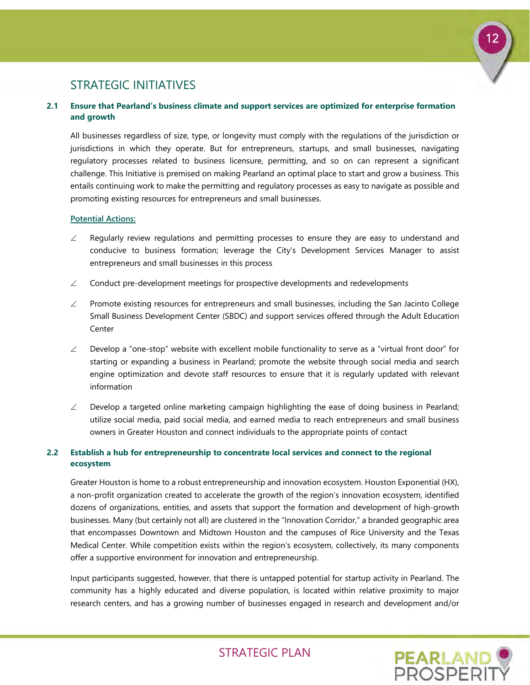

### STRATEGIC INITIATIVES

### **2.1 Ensure that Pearland's business climate and support services are optimized for enterprise formation and growth**

All businesses regardless of size, type, or longevity must comply with the regulations of the jurisdiction or jurisdictions in which they operate. But for entrepreneurs, startups, and small businesses, navigating regulatory processes related to business licensure, permitting, and so on can represent a significant challenge. This Initiative is premised on making Pearland an optimal place to start and grow a business. This entails continuing work to make the permitting and regulatory processes as easy to navigate as possible and promoting existing resources for entrepreneurs and small businesses.

### **Potential Actions:**

- $\angle$  Regularly review regulations and permitting processes to ensure they are easy to understand and conducive to business formation; leverage the City's Development Services Manager to assist entrepreneurs and small businesses in this process
- $\angle$  Conduct pre-development meetings for prospective developments and redevelopments
- ∠ Promote existing resources for entrepreneurs and small businesses, including the San Jacinto College Small Business Development Center (SBDC) and support services offered through the Adult Education **Center**
- $\angle$  Develop a "one-stop" website with excellent mobile functionality to serve as a "virtual front door" for starting or expanding a business in Pearland; promote the website through social media and search engine optimization and devote staff resources to ensure that it is regularly updated with relevant information
- $\angle$  Develop a targeted online marketing campaign highlighting the ease of doing business in Pearland; utilize social media, paid social media, and earned media to reach entrepreneurs and small business owners in Greater Houston and connect individuals to the appropriate points of contact

### **2.2 Establish a hub for entrepreneurship to concentrate local services and connect to the regional ecosystem**

Greater Houston is home to a robust entrepreneurship and innovation ecosystem. Houston Exponential (HX), a non-profit organization created to accelerate the growth of the region's innovation ecosystem, identified dozens of organizations, entities, and assets that support the formation and development of high-growth businesses. Many (but certainly not all) are clustered in the "Innovation Corridor," a branded geographic area that encompasses Downtown and Midtown Houston and the campuses of Rice University and the Texas Medical Center. While competition exists within the region's ecosystem, collectively, its many components offer a supportive environment for innovation and entrepreneurship.

Input participants suggested, however, that there is untapped potential for startup activity in Pearland. The community has a highly educated and diverse population, is located within relative proximity to major research centers, and has a growing number of businesses engaged in research and development and/or

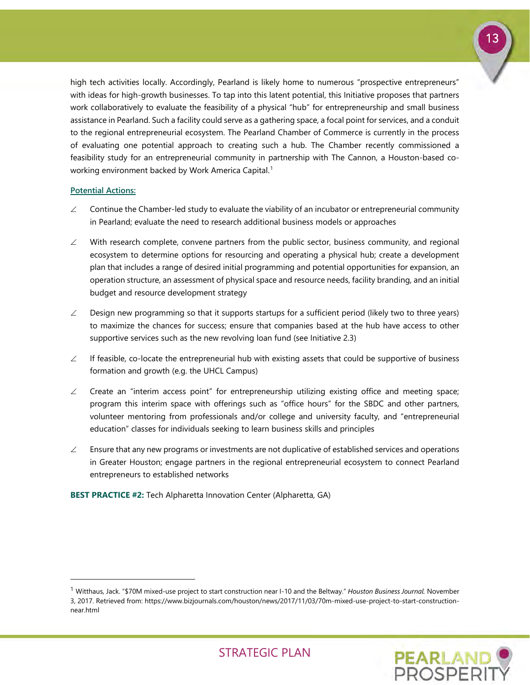

high tech activities locally. Accordingly, Pearland is likely home to numerous "prospective entrepreneurs" with ideas for high-growth businesses. To tap into this latent potential, this Initiative proposes that partners work collaboratively to evaluate the feasibility of a physical "hub" for entrepreneurship and small business assistance in Pearland. Such a facility could serve as a gathering space, a focal point for services, and a conduit to the regional entrepreneurial ecosystem. The Pearland Chamber of Commerce is currently in the process of evaluating one potential approach to creating such a hub. The Chamber recently commissioned a feasibility study for an entrepreneurial community in partnership with The Cannon, a Houston-based co-working environment backed by Work America Capital.<sup>[1](#page-14-0)</sup>

### **Potential Actions:**

-

- $\angle$  Continue the Chamber-led study to evaluate the viability of an incubator or entrepreneurial community in Pearland; evaluate the need to research additional business models or approaches
- $\angle$  With research complete, convene partners from the public sector, business community, and regional ecosystem to determine options for resourcing and operating a physical hub; create a development plan that includes a range of desired initial programming and potential opportunities for expansion, an operation structure, an assessment of physical space and resource needs, facility branding, and an initial budget and resource development strategy
- $\angle$  Design new programming so that it supports startups for a sufficient period (likely two to three years) to maximize the chances for success; ensure that companies based at the hub have access to other supportive services such as the new revolving loan fund (see Initiative 2.3)
- $\angle$  If feasible, co-locate the entrepreneurial hub with existing assets that could be supportive of business formation and growth (e.g. the UHCL Campus)
- $\angle$  Create an "interim access point" for entrepreneurship utilizing existing office and meeting space; program this interim space with offerings such as "office hours" for the SBDC and other partners, volunteer mentoring from professionals and/or college and university faculty, and "entrepreneurial education" classes for individuals seeking to learn business skills and principles
- $\angle$  Ensure that any new programs or investments are not duplicative of established services and operations in Greater Houston; engage partners in the regional entrepreneurial ecosystem to connect Pearland entrepreneurs to established networks

**BEST PRACTICE #2:** Tech Alpharetta Innovation Center (Alpharetta, GA)

<span id="page-14-0"></span><sup>1</sup> Witthaus, Jack. "\$70M mixed-use project to start construction near I-10 and the Beltway." *Houston Business Journal.* November 3, 2017. Retrieved from: https://www.bizjournals.com/houston/news/2017/11/03/70m-mixed-use-project-to-start-constructionnear.html

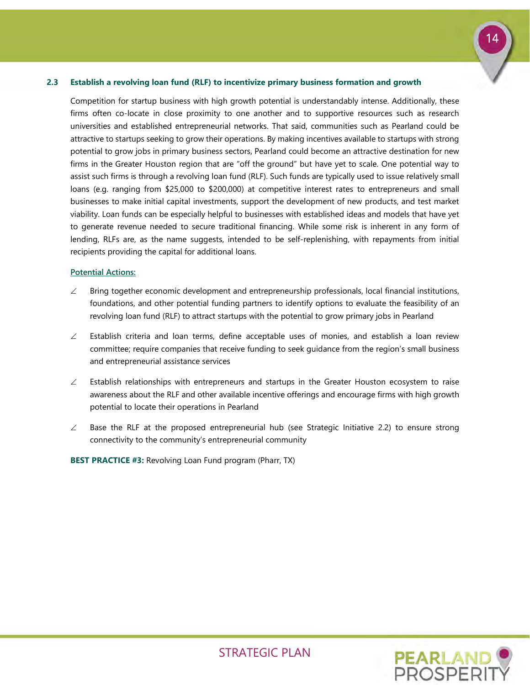# 14

### **2.3 Establish a revolving loan fund (RLF) to incentivize primary business formation and growth**

Competition for startup business with high growth potential is understandably intense. Additionally, these firms often co-locate in close proximity to one another and to supportive resources such as research universities and established entrepreneurial networks. That said, communities such as Pearland could be attractive to startups seeking to grow their operations. By making incentives available to startups with strong potential to grow jobs in primary business sectors, Pearland could become an attractive destination for new firms in the Greater Houston region that are "off the ground" but have yet to scale. One potential way to assist such firms is through a revolving loan fund (RLF). Such funds are typically used to issue relatively small loans (e.g. ranging from \$25,000 to \$200,000) at competitive interest rates to entrepreneurs and small businesses to make initial capital investments, support the development of new products, and test market viability. Loan funds can be especially helpful to businesses with established ideas and models that have yet to generate revenue needed to secure traditional financing. While some risk is inherent in any form of lending, RLFs are, as the name suggests, intended to be self-replenishing, with repayments from initial recipients providing the capital for additional loans.

#### **Potential Actions:**

- ∠ Bring together economic development and entrepreneurship professionals, local financial institutions, foundations, and other potential funding partners to identify options to evaluate the feasibility of an revolving loan fund (RLF) to attract startups with the potential to grow primary jobs in Pearland
- $\angle$  Establish criteria and loan terms, define acceptable uses of monies, and establish a loan review committee; require companies that receive funding to seek guidance from the region's small business and entrepreneurial assistance services
- $\angle$  Establish relationships with entrepreneurs and startups in the Greater Houston ecosystem to raise awareness about the RLF and other available incentive offerings and encourage firms with high growth potential to locate their operations in Pearland
- $\angle$  Base the RLF at the proposed entrepreneurial hub (see Strategic Initiative 2.2) to ensure strong connectivity to the community's entrepreneurial community

**BEST PRACTICE #3:** Revolving Loan Fund program (Pharr, TX)

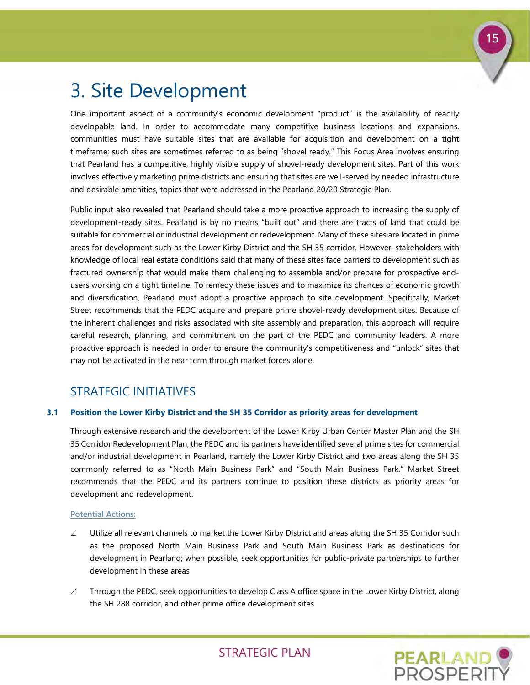

# <span id="page-16-0"></span>3. Site Development

One important aspect of a community's economic development "product" is the availability of readily developable land. In order to accommodate many competitive business locations and expansions, communities must have suitable sites that are available for acquisition and development on a tight timeframe; such sites are sometimes referred to as being "shovel ready." This Focus Area involves ensuring that Pearland has a competitive, highly visible supply of shovel-ready development sites. Part of this work involves effectively marketing prime districts and ensuring that sites are well-served by needed infrastructure and desirable amenities, topics that were addressed in the Pearland 20/20 Strategic Plan.

Public input also revealed that Pearland should take a more proactive approach to increasing the supply of development-ready sites. Pearland is by no means "built out" and there are tracts of land that could be suitable for commercial or industrial development or redevelopment. Many of these sites are located in prime areas for development such as the Lower Kirby District and the SH 35 corridor. However, stakeholders with knowledge of local real estate conditions said that many of these sites face barriers to development such as fractured ownership that would make them challenging to assemble and/or prepare for prospective endusers working on a tight timeline. To remedy these issues and to maximize its chances of economic growth and diversification, Pearland must adopt a proactive approach to site development. Specifically, Market Street recommends that the PEDC acquire and prepare prime shovel-ready development sites. Because of the inherent challenges and risks associated with site assembly and preparation, this approach will require careful research, planning, and commitment on the part of the PEDC and community leaders. A more proactive approach is needed in order to ensure the community's competitiveness and "unlock" sites that may not be activated in the near term through market forces alone.

### STRATEGIC INITIATIVES

### **3.1 Position the Lower Kirby District and the SH 35 Corridor as priority areas for development**

Through extensive research and the development of the Lower Kirby Urban Center Master Plan and the SH 35 Corridor Redevelopment Plan, the PEDC and its partners have identified several prime sites for commercial and/or industrial development in Pearland, namely the Lower Kirby District and two areas along the SH 35 commonly referred to as "North Main Business Park" and "South Main Business Park." Market Street recommends that the PEDC and its partners continue to position these districts as priority areas for development and redevelopment.

### **Potential Actions:**

- $\angle$  Utilize all relevant channels to market the Lower Kirby District and areas along the SH 35 Corridor such as the proposed North Main Business Park and South Main Business Park as destinations for development in Pearland; when possible, seek opportunities for public-private partnerships to further development in these areas
- ∠ Through the PEDC, seek opportunities to develop Class A office space in the Lower Kirby District, along the SH 288 corridor, and other prime office development sites

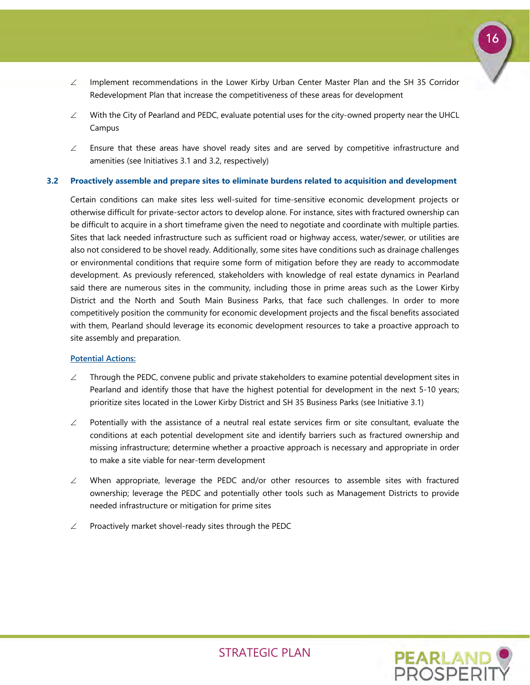

- ∠ Implement recommendations in the Lower Kirby Urban Center Master Plan and the SH 35 Corridor Redevelopment Plan that increase the competitiveness of these areas for development
- ∠ With the City of Pearland and PEDC, evaluate potential uses for the city-owned property near the UHCL Campus
- $\angle$  Ensure that these areas have shovel ready sites and are served by competitive infrastructure and amenities (see Initiatives 3.1 and 3.2, respectively)

### **3.2 Proactively assemble and prepare sites to eliminate burdens related to acquisition and development**

Certain conditions can make sites less well-suited for time-sensitive economic development projects or otherwise difficult for private-sector actors to develop alone. For instance, sites with fractured ownership can be difficult to acquire in a short timeframe given the need to negotiate and coordinate with multiple parties. Sites that lack needed infrastructure such as sufficient road or highway access, water/sewer, or utilities are also not considered to be shovel ready. Additionally, some sites have conditions such as drainage challenges or environmental conditions that require some form of mitigation before they are ready to accommodate development. As previously referenced, stakeholders with knowledge of real estate dynamics in Pearland said there are numerous sites in the community, including those in prime areas such as the Lower Kirby District and the North and South Main Business Parks, that face such challenges. In order to more competitively position the community for economic development projects and the fiscal benefits associated with them, Pearland should leverage its economic development resources to take a proactive approach to site assembly and preparation.

### **Potential Actions:**

- $\angle$  Through the PEDC, convene public and private stakeholders to examine potential development sites in Pearland and identify those that have the highest potential for development in the next 5-10 years; prioritize sites located in the Lower Kirby District and SH 35 Business Parks (see Initiative 3.1)
- $\angle$  Potentially with the assistance of a neutral real estate services firm or site consultant, evaluate the conditions at each potential development site and identify barriers such as fractured ownership and missing infrastructure; determine whether a proactive approach is necessary and appropriate in order to make a site viable for near-term development
- $\angle$  When appropriate, leverage the PEDC and/or other resources to assemble sites with fractured ownership; leverage the PEDC and potentially other tools such as Management Districts to provide needed infrastructure or mitigation for prime sites
- $\angle$  Proactively market shovel-ready sites through the PEDC

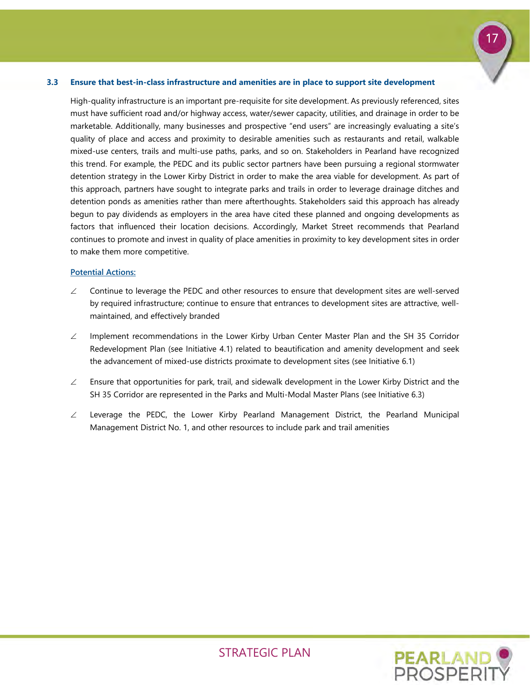### **3.3 Ensure that best-in-class infrastructure and amenities are in place to support site development**

High-quality infrastructure is an important pre-requisite for site development. As previously referenced, sites must have sufficient road and/or highway access, water/sewer capacity, utilities, and drainage in order to be marketable. Additionally, many businesses and prospective "end users" are increasingly evaluating a site's quality of place and access and proximity to desirable amenities such as restaurants and retail, walkable mixed-use centers, trails and multi-use paths, parks, and so on. Stakeholders in Pearland have recognized this trend. For example, the PEDC and its public sector partners have been pursuing a regional stormwater detention strategy in the Lower Kirby District in order to make the area viable for development. As part of this approach, partners have sought to integrate parks and trails in order to leverage drainage ditches and detention ponds as amenities rather than mere afterthoughts. Stakeholders said this approach has already begun to pay dividends as employers in the area have cited these planned and ongoing developments as factors that influenced their location decisions. Accordingly, Market Street recommends that Pearland continues to promote and invest in quality of place amenities in proximity to key development sites in order to make them more competitive.

### **Potential Actions:**

- ∠ Continue to leverage the PEDC and other resources to ensure that development sites are well-served by required infrastructure; continue to ensure that entrances to development sites are attractive, wellmaintained, and effectively branded
- ∠ Implement recommendations in the Lower Kirby Urban Center Master Plan and the SH 35 Corridor Redevelopment Plan (see Initiative 4.1) related to beautification and amenity development and seek the advancement of mixed-use districts proximate to development sites (see Initiative 6.1)
- $\angle$  Ensure that opportunities for park, trail, and sidewalk development in the Lower Kirby District and the SH 35 Corridor are represented in the Parks and Multi-Modal Master Plans (see Initiative 6.3)
- ∠ Leverage the PEDC, the Lower Kirby Pearland Management District, the Pearland Municipal Management District No. 1, and other resources to include park and trail amenities



17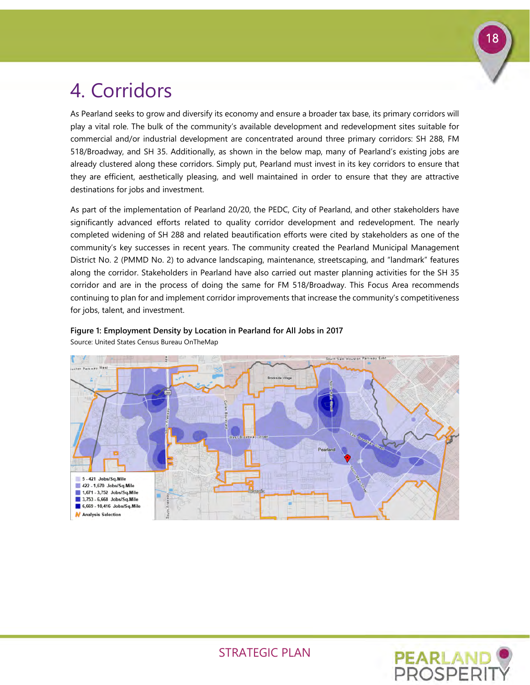

# <span id="page-19-0"></span>4. Corridors

As Pearland seeks to grow and diversify its economy and ensure a broader tax base, its primary corridors will play a vital role. The bulk of the community's available development and redevelopment sites suitable for commercial and/or industrial development are concentrated around three primary corridors: SH 288, FM 518/Broadway, and SH 35. Additionally, as shown in the below map, many of Pearland's existing jobs are already clustered along these corridors. Simply put, Pearland must invest in its key corridors to ensure that they are efficient, aesthetically pleasing, and well maintained in order to ensure that they are attractive destinations for jobs and investment.

As part of the implementation of Pearland 20/20, the PEDC, City of Pearland, and other stakeholders have significantly advanced efforts related to quality corridor development and redevelopment. The nearly completed widening of SH 288 and related beautification efforts were cited by stakeholders as one of the community's key successes in recent years. The community created the Pearland Municipal Management District No. 2 (PMMD No. 2) to advance landscaping, maintenance, streetscaping, and "landmark" features along the corridor. Stakeholders in Pearland have also carried out master planning activities for the SH 35 corridor and are in the process of doing the same for FM 518/Broadway. This Focus Area recommends continuing to plan for and implement corridor improvements that increase the community's competitiveness for jobs, talent, and investment.



# **Figure 1: Employment Density by Location in Pearland for All Jobs in 2017**

Source: United States Census Bureau OnTheMap

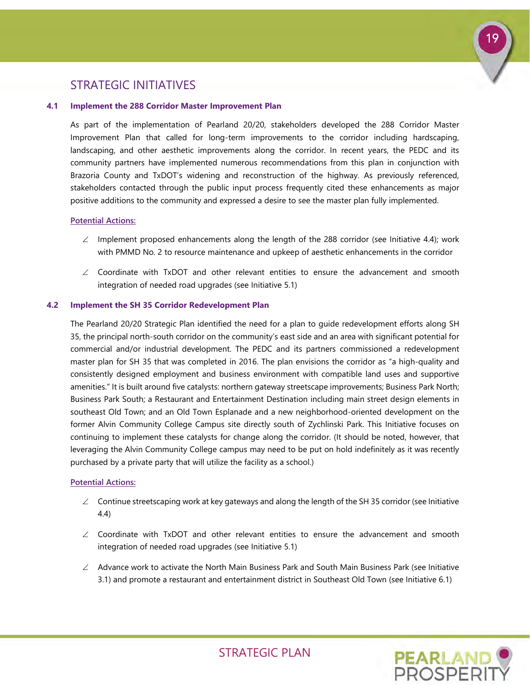### STRATEGIC INITIATIVES

### **4.1 Implement the 288 Corridor Master Improvement Plan**

As part of the implementation of Pearland 20/20, stakeholders developed the 288 Corridor Master Improvement Plan that called for long-term improvements to the corridor including hardscaping, landscaping, and other aesthetic improvements along the corridor. In recent years, the PEDC and its community partners have implemented numerous recommendations from this plan in conjunction with Brazoria County and TxDOT's widening and reconstruction of the highway. As previously referenced, stakeholders contacted through the public input process frequently cited these enhancements as major positive additions to the community and expressed a desire to see the master plan fully implemented.

### **Potential Actions:**

- $\angle$  Implement proposed enhancements along the length of the 288 corridor (see Initiative 4.4); work with PMMD No. 2 to resource maintenance and upkeep of aesthetic enhancements in the corridor
- ∠ Coordinate with TxDOT and other relevant entities to ensure the advancement and smooth integration of needed road upgrades (see Initiative 5.1)

### **4.2 Implement the SH 35 Corridor Redevelopment Plan**

The Pearland 20/20 Strategic Plan identified the need for a plan to guide redevelopment efforts along SH 35, the principal north-south corridor on the community's east side and an area with significant potential for commercial and/or industrial development. The PEDC and its partners commissioned a redevelopment master plan for SH 35 that was completed in 2016. The plan envisions the corridor as "a high-quality and consistently designed employment and business environment with compatible land uses and supportive amenities." It is built around five catalysts: northern gateway streetscape improvements; Business Park North; Business Park South; a Restaurant and Entertainment Destination including main street design elements in southeast Old Town; and an Old Town Esplanade and a new neighborhood-oriented development on the former Alvin Community College Campus site directly south of Zychlinski Park. This Initiative focuses on continuing to implement these catalysts for change along the corridor. (It should be noted, however, that leveraging the Alvin Community College campus may need to be put on hold indefinitely as it was recently purchased by a private party that will utilize the facility as a school.)

### **Potential Actions:**

- $\angle$  Continue streetscaping work at key gateways and along the length of the SH 35 corridor (see Initiative 4.4)
- ∠ Coordinate with TxDOT and other relevant entities to ensure the advancement and smooth integration of needed road upgrades (see Initiative 5.1)
- ∠ Advance work to activate the North Main Business Park and South Main Business Park (see Initiative 3.1) and promote a restaurant and entertainment district in Southeast Old Town (see Initiative 6.1)



19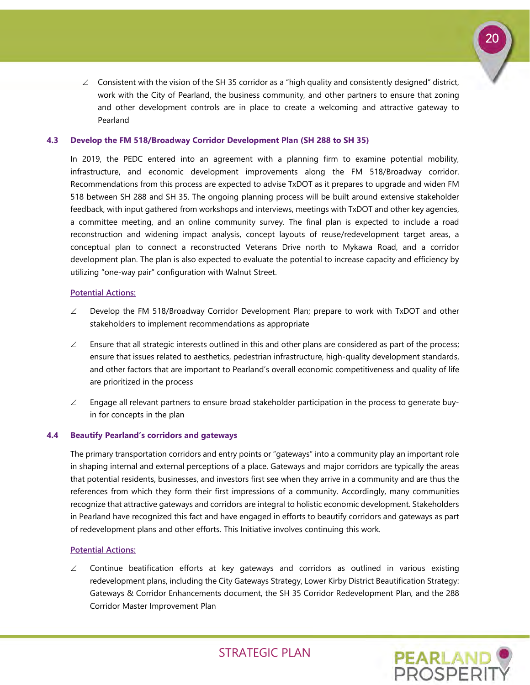

 $\angle$  Consistent with the vision of the SH 35 corridor as a "high quality and consistently designed" district, work with the City of Pearland, the business community, and other partners to ensure that zoning and other development controls are in place to create a welcoming and attractive gateway to Pearland

### **4.3 Develop the FM 518/Broadway Corridor Development Plan (SH 288 to SH 35)**

In 2019, the PEDC entered into an agreement with a planning firm to examine potential mobility, infrastructure, and economic development improvements along the FM 518/Broadway corridor. Recommendations from this process are expected to advise TxDOT as it prepares to upgrade and widen FM 518 between SH 288 and SH 35. The ongoing planning process will be built around extensive stakeholder feedback, with input gathered from workshops and interviews, meetings with TxDOT and other key agencies, a committee meeting, and an online community survey. The final plan is expected to include a road reconstruction and widening impact analysis, concept layouts of reuse/redevelopment target areas, a conceptual plan to connect a reconstructed Veterans Drive north to Mykawa Road, and a corridor development plan. The plan is also expected to evaluate the potential to increase capacity and efficiency by utilizing "one-way pair" configuration with Walnut Street.

### **Potential Actions:**

- ∠ Develop the FM 518/Broadway Corridor Development Plan; prepare to work with TxDOT and other stakeholders to implement recommendations as appropriate
- $\angle$  Ensure that all strategic interests outlined in this and other plans are considered as part of the process; ensure that issues related to aesthetics, pedestrian infrastructure, high-quality development standards, and other factors that are important to Pearland's overall economic competitiveness and quality of life are prioritized in the process
- $\angle$  Engage all relevant partners to ensure broad stakeholder participation in the process to generate buyin for concepts in the plan

### **4.4 Beautify Pearland's corridors and gateways**

The primary transportation corridors and entry points or "gateways" into a community play an important role in shaping internal and external perceptions of a place. Gateways and major corridors are typically the areas that potential residents, businesses, and investors first see when they arrive in a community and are thus the references from which they form their first impressions of a community. Accordingly, many communities recognize that attractive gateways and corridors are integral to holistic economic development. Stakeholders in Pearland have recognized this fact and have engaged in efforts to beautify corridors and gateways as part of redevelopment plans and other efforts. This Initiative involves continuing this work.

### **Potential Actions:**

 $\angle$  Continue beatification efforts at key gateways and corridors as outlined in various existing redevelopment plans, including the City Gateways Strategy, Lower Kirby District Beautification Strategy: Gateways & Corridor Enhancements document, the SH 35 Corridor Redevelopment Plan, and the 288 Corridor Master Improvement Plan

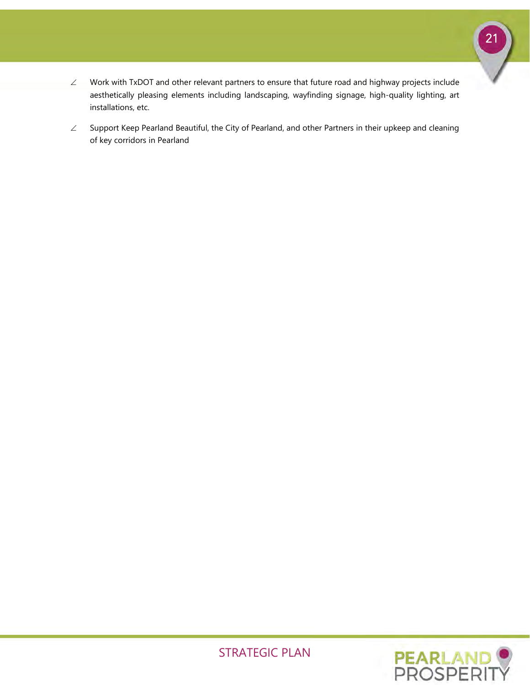

- ∠ Work with TxDOT and other relevant partners to ensure that future road and highway projects include aesthetically pleasing elements including landscaping, wayfinding signage, high-quality lighting, art installations, etc.
- ∠ Support Keep Pearland Beautiful, the City of Pearland, and other Partners in their upkeep and cleaning of key corridors in Pearland

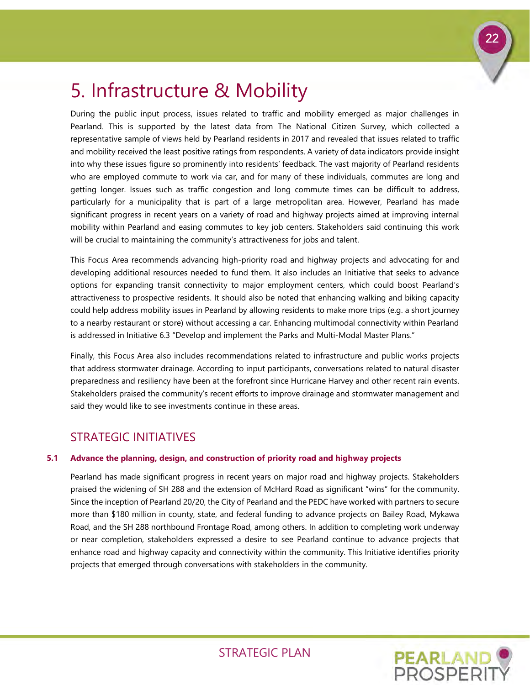

# <span id="page-23-0"></span>5. Infrastructure & Mobility

During the public input process, issues related to traffic and mobility emerged as major challenges in Pearland. This is supported by the latest data from The National Citizen Survey, which collected a representative sample of views held by Pearland residents in 2017 and revealed that issues related to traffic and mobility received the least positive ratings from respondents. A variety of data indicators provide insight into why these issues figure so prominently into residents' feedback. The vast majority of Pearland residents who are employed commute to work via car, and for many of these individuals, commutes are long and getting longer. Issues such as traffic congestion and long commute times can be difficult to address, particularly for a municipality that is part of a large metropolitan area. However, Pearland has made significant progress in recent years on a variety of road and highway projects aimed at improving internal mobility within Pearland and easing commutes to key job centers. Stakeholders said continuing this work will be crucial to maintaining the community's attractiveness for jobs and talent.

This Focus Area recommends advancing high-priority road and highway projects and advocating for and developing additional resources needed to fund them. It also includes an Initiative that seeks to advance options for expanding transit connectivity to major employment centers, which could boost Pearland's attractiveness to prospective residents. It should also be noted that enhancing walking and biking capacity could help address mobility issues in Pearland by allowing residents to make more trips (e.g. a short journey to a nearby restaurant or store) without accessing a car. Enhancing multimodal connectivity within Pearland is addressed in Initiative 6.3 "Develop and implement the Parks and Multi-Modal Master Plans."

Finally, this Focus Area also includes recommendations related to infrastructure and public works projects that address stormwater drainage. According to input participants, conversations related to natural disaster preparedness and resiliency have been at the forefront since Hurricane Harvey and other recent rain events. Stakeholders praised the community's recent efforts to improve drainage and stormwater management and said they would like to see investments continue in these areas.

# STRATEGIC INITIATIVES

### **5.1 Advance the planning, design, and construction of priority road and highway projects**

Pearland has made significant progress in recent years on major road and highway projects. Stakeholders praised the widening of SH 288 and the extension of McHard Road as significant "wins" for the community. Since the inception of Pearland 20/20, the City of Pearland and the PEDC have worked with partners to secure more than \$180 million in county, state, and federal funding to advance projects on Bailey Road, Mykawa Road, and the SH 288 northbound Frontage Road, among others. In addition to completing work underway or near completion, stakeholders expressed a desire to see Pearland continue to advance projects that enhance road and highway capacity and connectivity within the community. This Initiative identifies priority projects that emerged through conversations with stakeholders in the community.

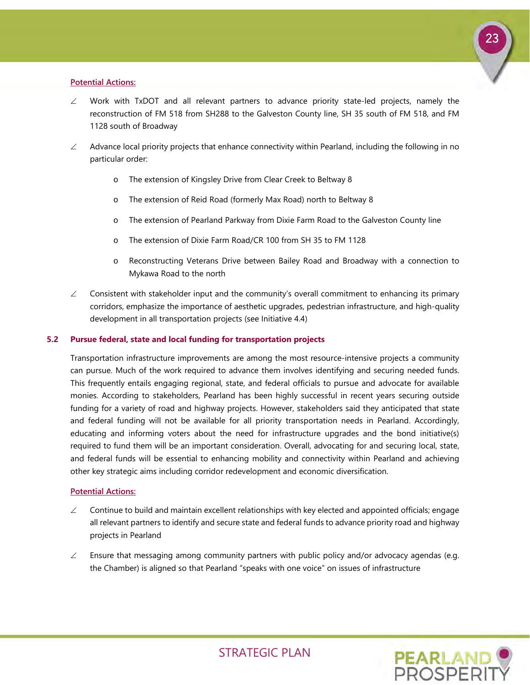

### **Potential Actions:**

- ∠ Work with TxDOT and all relevant partners to advance priority state-led projects, namely the reconstruction of FM 518 from SH288 to the Galveston County line, SH 35 south of FM 518, and FM 1128 south of Broadway
- $\angle$  Advance local priority projects that enhance connectivity within Pearland, including the following in no particular order:
	- o The extension of Kingsley Drive from Clear Creek to Beltway 8
	- o The extension of Reid Road (formerly Max Road) north to Beltway 8
	- o The extension of Pearland Parkway from Dixie Farm Road to the Galveston County line
	- o The extension of Dixie Farm Road/CR 100 from SH 35 to FM 1128
	- o Reconstructing Veterans Drive between Bailey Road and Broadway with a connection to Mykawa Road to the north
- $\angle$  Consistent with stakeholder input and the community's overall commitment to enhancing its primary corridors, emphasize the importance of aesthetic upgrades, pedestrian infrastructure, and high-quality development in all transportation projects (see Initiative 4.4)

### **5.2 Pursue federal, state and local funding for transportation projects**

Transportation infrastructure improvements are among the most resource-intensive projects a community can pursue. Much of the work required to advance them involves identifying and securing needed funds. This frequently entails engaging regional, state, and federal officials to pursue and advocate for available monies. According to stakeholders, Pearland has been highly successful in recent years securing outside funding for a variety of road and highway projects. However, stakeholders said they anticipated that state and federal funding will not be available for all priority transportation needs in Pearland. Accordingly, educating and informing voters about the need for infrastructure upgrades and the bond initiative(s) required to fund them will be an important consideration. Overall, advocating for and securing local, state, and federal funds will be essential to enhancing mobility and connectivity within Pearland and achieving other key strategic aims including corridor redevelopment and economic diversification.

### **Potential Actions:**

- ∠ Continue to build and maintain excellent relationships with key elected and appointed officials; engage all relevant partners to identify and secure state and federal funds to advance priority road and highway projects in Pearland
- $\angle$  Ensure that messaging among community partners with public policy and/or advocacy agendas (e.g. the Chamber) is aligned so that Pearland "speaks with one voice" on issues of infrastructure

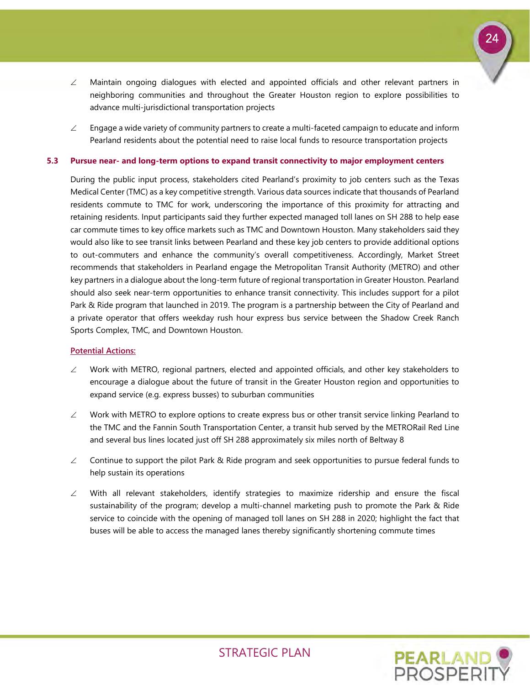

- $\angle$  Maintain ongoing dialogues with elected and appointed officials and other relevant partners in neighboring communities and throughout the Greater Houston region to explore possibilities to advance multi-jurisdictional transportation projects
- $\angle$  Engage a wide variety of community partners to create a multi-faceted campaign to educate and inform Pearland residents about the potential need to raise local funds to resource transportation projects

### **5.3 Pursue near- and long-term options to expand transit connectivity to major employment centers**

During the public input process, stakeholders cited Pearland's proximity to job centers such as the Texas Medical Center (TMC) as a key competitive strength. Various data sources indicate that thousands of Pearland residents commute to TMC for work, underscoring the importance of this proximity for attracting and retaining residents. Input participants said they further expected managed toll lanes on SH 288 to help ease car commute times to key office markets such as TMC and Downtown Houston. Many stakeholders said they would also like to see transit links between Pearland and these key job centers to provide additional options to out-commuters and enhance the community's overall competitiveness. Accordingly, Market Street recommends that stakeholders in Pearland engage the Metropolitan Transit Authority (METRO) and other key partners in a dialogue about the long-term future of regional transportation in Greater Houston. Pearland should also seek near-term opportunities to enhance transit connectivity. This includes support for a pilot Park & Ride program that launched in 2019. The program is a partnership between the City of Pearland and a private operator that offers weekday rush hour express bus service between the Shadow Creek Ranch Sports Complex, TMC, and Downtown Houston.

### **Potential Actions:**

- $\angle$  Work with METRO, regional partners, elected and appointed officials, and other key stakeholders to encourage a dialogue about the future of transit in the Greater Houston region and opportunities to expand service (e.g. express busses) to suburban communities
- $\angle$  Work with METRO to explore options to create express bus or other transit service linking Pearland to the TMC and the Fannin South Transportation Center, a transit hub served by the METRORail Red Line and several bus lines located just off SH 288 approximately six miles north of Beltway 8
- $\angle$  Continue to support the pilot Park & Ride program and seek opportunities to pursue federal funds to help sustain its operations
- $\angle$  With all relevant stakeholders, identify strategies to maximize ridership and ensure the fiscal sustainability of the program; develop a multi-channel marketing push to promote the Park & Ride service to coincide with the opening of managed toll lanes on SH 288 in 2020; highlight the fact that buses will be able to access the managed lanes thereby significantly shortening commute times

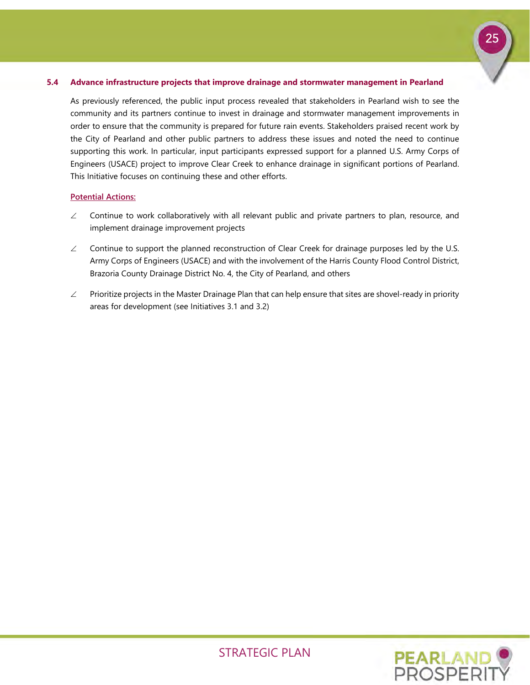### **5.4 Advance infrastructure projects that improve drainage and stormwater management in Pearland**

As previously referenced, the public input process revealed that stakeholders in Pearland wish to see the community and its partners continue to invest in drainage and stormwater management improvements in order to ensure that the community is prepared for future rain events. Stakeholders praised recent work by the City of Pearland and other public partners to address these issues and noted the need to continue supporting this work. In particular, input participants expressed support for a planned U.S. Army Corps of Engineers (USACE) project to improve Clear Creek to enhance drainage in significant portions of Pearland. This Initiative focuses on continuing these and other efforts.

### **Potential Actions:**

- ∠ Continue to work collaboratively with all relevant public and private partners to plan, resource, and implement drainage improvement projects
- $\angle$  Continue to support the planned reconstruction of Clear Creek for drainage purposes led by the U.S. Army Corps of Engineers (USACE) and with the involvement of the Harris County Flood Control District, Brazoria County Drainage District No. 4, the City of Pearland, and others
- ∠ Prioritize projects in the Master Drainage Plan that can help ensure that sites are shovel-ready in priority areas for development (see Initiatives 3.1 and 3.2)



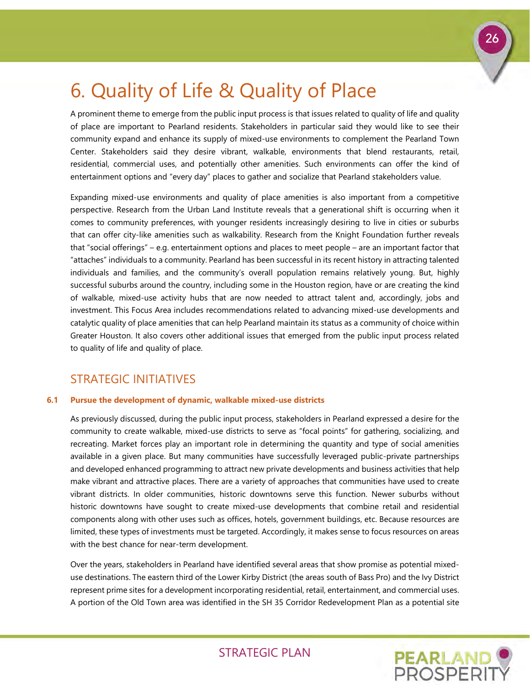# <span id="page-27-0"></span>6. Quality of Life & Quality of Place

A prominent theme to emerge from the public input process is that issues related to quality of life and quality of place are important to Pearland residents. Stakeholders in particular said they would like to see their community expand and enhance its supply of mixed-use environments to complement the Pearland Town Center. Stakeholders said they desire vibrant, walkable, environments that blend restaurants, retail, residential, commercial uses, and potentially other amenities. Such environments can offer the kind of entertainment options and "every day" places to gather and socialize that Pearland stakeholders value.

Expanding mixed-use environments and quality of place amenities is also important from a competitive perspective. Research from the Urban Land Institute reveals that a generational shift is occurring when it comes to community preferences, with younger residents increasingly desiring to live in cities or suburbs that can offer city-like amenities such as walkability. Research from the Knight Foundation further reveals that "social offerings" – e.g. entertainment options and places to meet people – are an important factor that "attaches" individuals to a community. Pearland has been successful in its recent history in attracting talented individuals and families, and the community's overall population remains relatively young. But, highly successful suburbs around the country, including some in the Houston region, have or are creating the kind of walkable, mixed-use activity hubs that are now needed to attract talent and, accordingly, jobs and investment. This Focus Area includes recommendations related to advancing mixed-use developments and catalytic quality of place amenities that can help Pearland maintain its status as a community of choice within Greater Houston. It also covers other additional issues that emerged from the public input process related to quality of life and quality of place.

# STRATEGIC INITIATIVES

### **6.1 Pursue the development of dynamic, walkable mixed-use districts**

As previously discussed, during the public input process, stakeholders in Pearland expressed a desire for the community to create walkable, mixed-use districts to serve as "focal points" for gathering, socializing, and recreating. Market forces play an important role in determining the quantity and type of social amenities available in a given place. But many communities have successfully leveraged public-private partnerships and developed enhanced programming to attract new private developments and business activities that help make vibrant and attractive places. There are a variety of approaches that communities have used to create vibrant districts. In older communities, historic downtowns serve this function. Newer suburbs without historic downtowns have sought to create mixed-use developments that combine retail and residential components along with other uses such as offices, hotels, government buildings, etc. Because resources are limited, these types of investments must be targeted. Accordingly, it makes sense to focus resources on areas with the best chance for near-term development.

Over the years, stakeholders in Pearland have identified several areas that show promise as potential mixeduse destinations. The eastern third of the Lower Kirby District (the areas south of Bass Pro) and the Ivy District represent prime sites for a development incorporating residential, retail, entertainment, and commercial uses. A portion of the Old Town area was identified in the SH 35 Corridor Redevelopment Plan as a potential site



26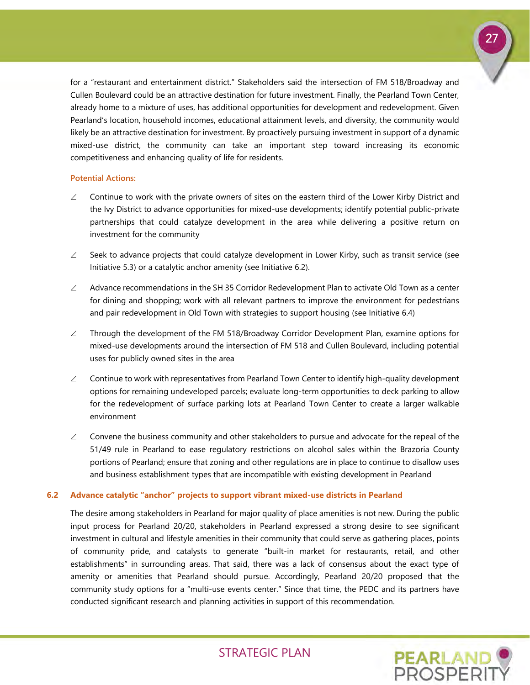

for a "restaurant and entertainment district." Stakeholders said the intersection of FM 518/Broadway and Cullen Boulevard could be an attractive destination for future investment. Finally, the Pearland Town Center, already home to a mixture of uses, has additional opportunities for development and redevelopment. Given Pearland's location, household incomes, educational attainment levels, and diversity, the community would likely be an attractive destination for investment. By proactively pursuing investment in support of a dynamic mixed-use district, the community can take an important step toward increasing its economic competitiveness and enhancing quality of life for residents.

### **Potential Actions:**

- ∠ Continue to work with the private owners of sites on the eastern third of the Lower Kirby District and the Ivy District to advance opportunities for mixed-use developments; identify potential public-private partnerships that could catalyze development in the area while delivering a positive return on investment for the community
- $\angle$  Seek to advance projects that could catalyze development in Lower Kirby, such as transit service (see Initiative 5.3) or a catalytic anchor amenity (see Initiative 6.2).
- $\angle$  Advance recommendations in the SH 35 Corridor Redevelopment Plan to activate Old Town as a center for dining and shopping; work with all relevant partners to improve the environment for pedestrians and pair redevelopment in Old Town with strategies to support housing (see Initiative 6.4)
- ∠ Through the development of the FM 518/Broadway Corridor Development Plan, examine options for mixed-use developments around the intersection of FM 518 and Cullen Boulevard, including potential uses for publicly owned sites in the area
- ∠ Continue to work with representatives from Pearland Town Center to identify high-quality development options for remaining undeveloped parcels; evaluate long-term opportunities to deck parking to allow for the redevelopment of surface parking lots at Pearland Town Center to create a larger walkable environment
- $\angle$  Convene the business community and other stakeholders to pursue and advocate for the repeal of the 51/49 rule in Pearland to ease regulatory restrictions on alcohol sales within the Brazoria County portions of Pearland; ensure that zoning and other regulations are in place to continue to disallow uses and business establishment types that are incompatible with existing development in Pearland

### **6.2 Advance catalytic "anchor" projects to support vibrant mixed-use districts in Pearland**

The desire among stakeholders in Pearland for major quality of place amenities is not new. During the public input process for Pearland 20/20, stakeholders in Pearland expressed a strong desire to see significant investment in cultural and lifestyle amenities in their community that could serve as gathering places, points of community pride, and catalysts to generate "built-in market for restaurants, retail, and other establishments" in surrounding areas. That said, there was a lack of consensus about the exact type of amenity or amenities that Pearland should pursue. Accordingly, Pearland 20/20 proposed that the community study options for a "multi-use events center." Since that time, the PEDC and its partners have conducted significant research and planning activities in support of this recommendation.

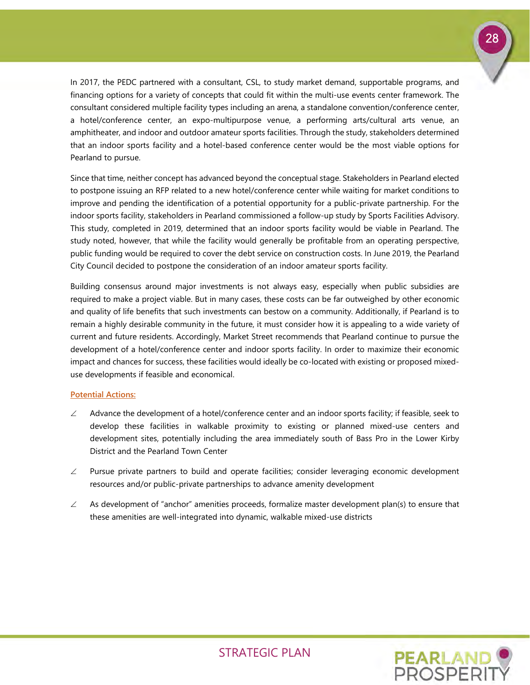

In 2017, the PEDC partnered with a consultant, CSL, to study market demand, supportable programs, and financing options for a variety of concepts that could fit within the multi-use events center framework. The consultant considered multiple facility types including an arena, a standalone convention/conference center, a hotel/conference center, an expo-multipurpose venue, a performing arts/cultural arts venue, an amphitheater, and indoor and outdoor amateur sports facilities. Through the study, stakeholders determined that an indoor sports facility and a hotel-based conference center would be the most viable options for Pearland to pursue.

Since that time, neither concept has advanced beyond the conceptual stage. Stakeholders in Pearland elected to postpone issuing an RFP related to a new hotel/conference center while waiting for market conditions to improve and pending the identification of a potential opportunity for a public-private partnership. For the indoor sports facility, stakeholders in Pearland commissioned a follow-up study by Sports Facilities Advisory. This study, completed in 2019, determined that an indoor sports facility would be viable in Pearland. The study noted, however, that while the facility would generally be profitable from an operating perspective, public funding would be required to cover the debt service on construction costs. In June 2019, the Pearland City Council decided to postpone the consideration of an indoor amateur sports facility.

Building consensus around major investments is not always easy, especially when public subsidies are required to make a project viable. But in many cases, these costs can be far outweighed by other economic and quality of life benefits that such investments can bestow on a community. Additionally, if Pearland is to remain a highly desirable community in the future, it must consider how it is appealing to a wide variety of current and future residents. Accordingly, Market Street recommends that Pearland continue to pursue the development of a hotel/conference center and indoor sports facility. In order to maximize their economic impact and chances for success, these facilities would ideally be co-located with existing or proposed mixeduse developments if feasible and economical.

### **Potential Actions:**

- $\angle$  Advance the development of a hotel/conference center and an indoor sports facility; if feasible, seek to develop these facilities in walkable proximity to existing or planned mixed-use centers and development sites, potentially including the area immediately south of Bass Pro in the Lower Kirby District and the Pearland Town Center
- ∠ Pursue private partners to build and operate facilities; consider leveraging economic development resources and/or public-private partnerships to advance amenity development
- $\angle$  As development of "anchor" amenities proceeds, formalize master development plan(s) to ensure that these amenities are well-integrated into dynamic, walkable mixed-use districts

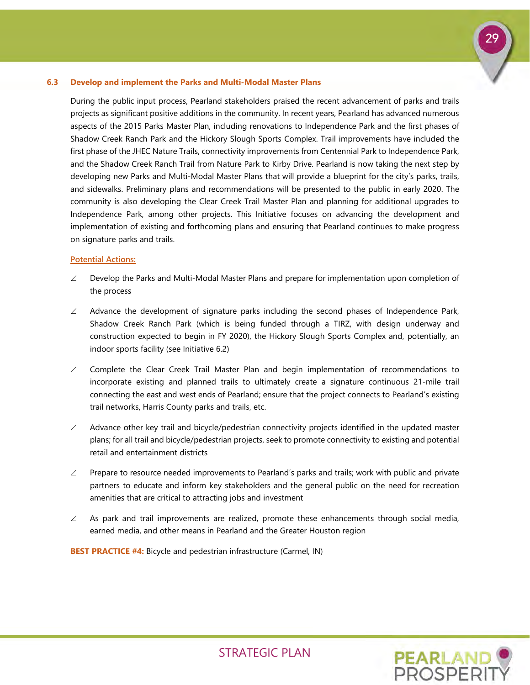### **6.3 Develop and implement the Parks and Multi-Modal Master Plans**

During the public input process, Pearland stakeholders praised the recent advancement of parks and trails projects as significant positive additions in the community. In recent years, Pearland has advanced numerous aspects of the 2015 Parks Master Plan, including renovations to Independence Park and the first phases of Shadow Creek Ranch Park and the Hickory Slough Sports Complex. Trail improvements have included the first phase of the JHEC Nature Trails, connectivity improvements from Centennial Park to Independence Park, and the Shadow Creek Ranch Trail from Nature Park to Kirby Drive. Pearland is now taking the next step by developing new Parks and Multi-Modal Master Plans that will provide a blueprint for the city's parks, trails, and sidewalks. Preliminary plans and recommendations will be presented to the public in early 2020. The community is also developing the Clear Creek Trail Master Plan and planning for additional upgrades to Independence Park, among other projects. This Initiative focuses on advancing the development and implementation of existing and forthcoming plans and ensuring that Pearland continues to make progress on signature parks and trails.

### **Potential Actions:**

- $\angle$  Develop the Parks and Multi-Modal Master Plans and prepare for implementation upon completion of the process
- $\angle$  Advance the development of signature parks including the second phases of Independence Park, Shadow Creek Ranch Park (which is being funded through a TIRZ, with design underway and construction expected to begin in FY 2020), the Hickory Slough Sports Complex and, potentially, an indoor sports facility (see Initiative 6.2)
- ∠ Complete the Clear Creek Trail Master Plan and begin implementation of recommendations to incorporate existing and planned trails to ultimately create a signature continuous 21-mile trail connecting the east and west ends of Pearland; ensure that the project connects to Pearland's existing trail networks, Harris County parks and trails, etc.
- ∠ Advance other key trail and bicycle/pedestrian connectivity projects identified in the updated master plans; for all trail and bicycle/pedestrian projects, seek to promote connectivity to existing and potential retail and entertainment districts
- $∠$  Prepare to resource needed improvements to Pearland's parks and trails; work with public and private partners to educate and inform key stakeholders and the general public on the need for recreation amenities that are critical to attracting jobs and investment
- $\angle$  As park and trail improvements are realized, promote these enhancements through social media, earned media, and other means in Pearland and the Greater Houston region

**BEST PRACTICE #4:** Bicycle and pedestrian infrastructure (Carmel, IN)



29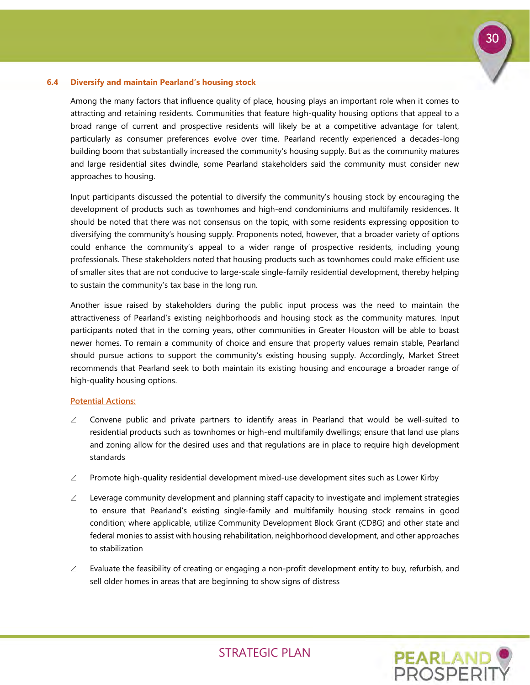

### **6.4 Diversify and maintain Pearland's housing stock**

Among the many factors that influence quality of place, housing plays an important role when it comes to attracting and retaining residents. Communities that feature high-quality housing options that appeal to a broad range of current and prospective residents will likely be at a competitive advantage for talent, particularly as consumer preferences evolve over time. Pearland recently experienced a decades-long building boom that substantially increased the community's housing supply. But as the community matures and large residential sites dwindle, some Pearland stakeholders said the community must consider new approaches to housing.

Input participants discussed the potential to diversify the community's housing stock by encouraging the development of products such as townhomes and high-end condominiums and multifamily residences. It should be noted that there was not consensus on the topic, with some residents expressing opposition to diversifying the community's housing supply. Proponents noted, however, that a broader variety of options could enhance the community's appeal to a wider range of prospective residents, including young professionals. These stakeholders noted that housing products such as townhomes could make efficient use of smaller sites that are not conducive to large-scale single-family residential development, thereby helping to sustain the community's tax base in the long run.

Another issue raised by stakeholders during the public input process was the need to maintain the attractiveness of Pearland's existing neighborhoods and housing stock as the community matures. Input participants noted that in the coming years, other communities in Greater Houston will be able to boast newer homes. To remain a community of choice and ensure that property values remain stable, Pearland should pursue actions to support the community's existing housing supply. Accordingly, Market Street recommends that Pearland seek to both maintain its existing housing and encourage a broader range of high-quality housing options.

### **Potential Actions:**

- $\angle$  Convene public and private partners to identify areas in Pearland that would be well-suited to residential products such as townhomes or high-end multifamily dwellings; ensure that land use plans and zoning allow for the desired uses and that regulations are in place to require high development standards
- $\angle$  Promote high-quality residential development mixed-use development sites such as Lower Kirby
- $\angle$  Leverage community development and planning staff capacity to investigate and implement strategies to ensure that Pearland's existing single-family and multifamily housing stock remains in good condition; where applicable, utilize Community Development Block Grant (CDBG) and other state and federal monies to assist with housing rehabilitation, neighborhood development, and other approaches to stabilization
- $\angle$  Evaluate the feasibility of creating or engaging a non-profit development entity to buy, refurbish, and sell older homes in areas that are beginning to show signs of distress

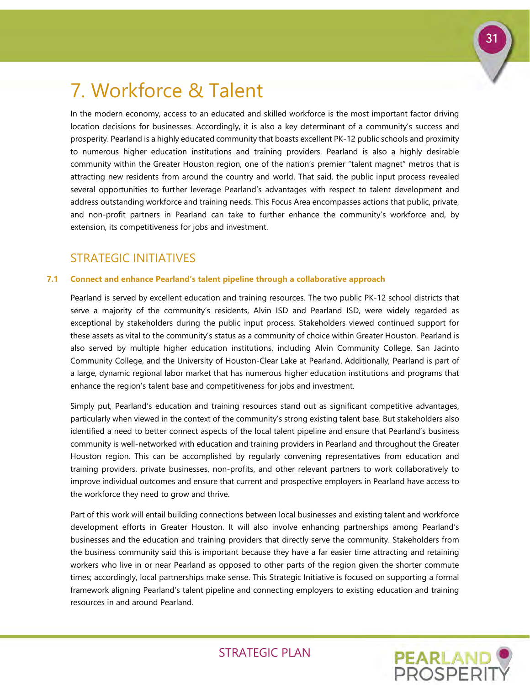# <span id="page-32-0"></span>7. Workforce & Talent

In the modern economy, access to an educated and skilled workforce is the most important factor driving location decisions for businesses. Accordingly, it is also a key determinant of a community's success and prosperity. Pearland is a highly educated community that boasts excellent PK-12 public schools and proximity to numerous higher education institutions and training providers. Pearland is also a highly desirable community within the Greater Houston region, one of the nation's premier "talent magnet" metros that is attracting new residents from around the country and world. That said, the public input process revealed several opportunities to further leverage Pearland's advantages with respect to talent development and address outstanding workforce and training needs. This Focus Area encompasses actions that public, private, and non-profit partners in Pearland can take to further enhance the community's workforce and, by extension, its competitiveness for jobs and investment.

### STRATEGIC INITIATIVES

### **7.1 Connect and enhance Pearland's talent pipeline through a collaborative approach**

Pearland is served by excellent education and training resources. The two public PK-12 school districts that serve a majority of the community's residents, Alvin ISD and Pearland ISD, were widely regarded as exceptional by stakeholders during the public input process. Stakeholders viewed continued support for these assets as vital to the community's status as a community of choice within Greater Houston. Pearland is also served by multiple higher education institutions, including Alvin Community College, San Jacinto Community College, and the University of Houston-Clear Lake at Pearland. Additionally, Pearland is part of a large, dynamic regional labor market that has numerous higher education institutions and programs that enhance the region's talent base and competitiveness for jobs and investment.

Simply put, Pearland's education and training resources stand out as significant competitive advantages, particularly when viewed in the context of the community's strong existing talent base. But stakeholders also identified a need to better connect aspects of the local talent pipeline and ensure that Pearland's business community is well-networked with education and training providers in Pearland and throughout the Greater Houston region. This can be accomplished by regularly convening representatives from education and training providers, private businesses, non-profits, and other relevant partners to work collaboratively to improve individual outcomes and ensure that current and prospective employers in Pearland have access to the workforce they need to grow and thrive.

Part of this work will entail building connections between local businesses and existing talent and workforce development efforts in Greater Houston. It will also involve enhancing partnerships among Pearland's businesses and the education and training providers that directly serve the community. Stakeholders from the business community said this is important because they have a far easier time attracting and retaining workers who live in or near Pearland as opposed to other parts of the region given the shorter commute times; accordingly, local partnerships make sense. This Strategic Initiative is focused on supporting a formal framework aligning Pearland's talent pipeline and connecting employers to existing education and training resources in and around Pearland.



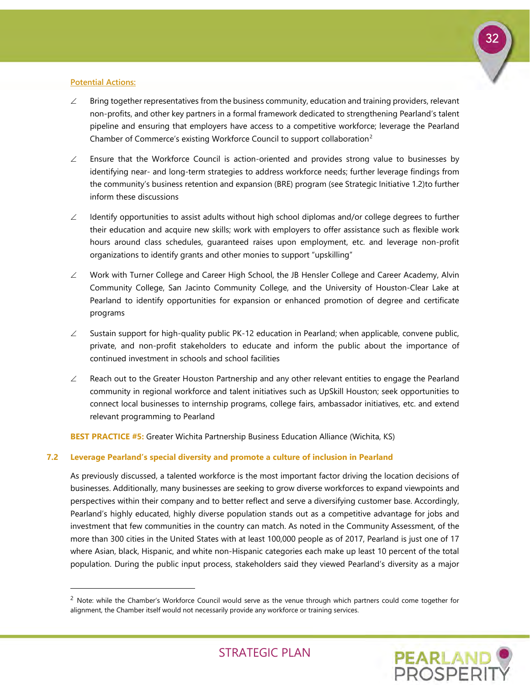

### **Potential Actions:**

-

- $\angle$  Bring together representatives from the business community, education and training providers, relevant non-profits, and other key partners in a formal framework dedicated to strengthening Pearland's talent pipeline and ensuring that employers have access to a competitive workforce; leverage the Pearland Chamber of Commerce's existing Workforce Council to support collaboration<sup>[2](#page-33-0)</sup>
- ∠ Ensure that the Workforce Council is action-oriented and provides strong value to businesses by identifying near- and long-term strategies to address workforce needs; further leverage findings from the community's business retention and expansion (BRE) program (see Strategic Initiative 1.2)to further inform these discussions
- $\angle$  Identify opportunities to assist adults without high school diplomas and/or college degrees to further their education and acquire new skills; work with employers to offer assistance such as flexible work hours around class schedules, guaranteed raises upon employment, etc. and leverage non-profit organizations to identify grants and other monies to support "upskilling"
- ∠ Work with Turner College and Career High School, the JB Hensler College and Career Academy, Alvin Community College, San Jacinto Community College, and the University of Houston-Clear Lake at Pearland to identify opportunities for expansion or enhanced promotion of degree and certificate programs
- $\angle$  Sustain support for high-quality public PK-12 education in Pearland; when applicable, convene public, private, and non-profit stakeholders to educate and inform the public about the importance of continued investment in schools and school facilities
- $\angle$  Reach out to the Greater Houston Partnership and any other relevant entities to engage the Pearland community in regional workforce and talent initiatives such as UpSkill Houston; seek opportunities to connect local businesses to internship programs, college fairs, ambassador initiatives, etc. and extend relevant programming to Pearland

**BEST PRACTICE #5:** Greater Wichita Partnership Business Education Alliance (Wichita, KS)

### **7.2 Leverage Pearland's special diversity and promote a culture of inclusion in Pearland**

As previously discussed, a talented workforce is the most important factor driving the location decisions of businesses. Additionally, many businesses are seeking to grow diverse workforces to expand viewpoints and perspectives within their company and to better reflect and serve a diversifying customer base. Accordingly, Pearland's highly educated, highly diverse population stands out as a competitive advantage for jobs and investment that few communities in the country can match. As noted in the Community Assessment, of the more than 300 cities in the United States with at least 100,000 people as of 2017, Pearland is just one of 17 where Asian, black, Hispanic, and white non-Hispanic categories each make up least 10 percent of the total population. During the public input process, stakeholders said they viewed Pearland's diversity as a major

<span id="page-33-0"></span> $2$  Note: while the Chamber's Workforce Council would serve as the venue through which partners could come together for alignment, the Chamber itself would not necessarily provide any workforce or training services.

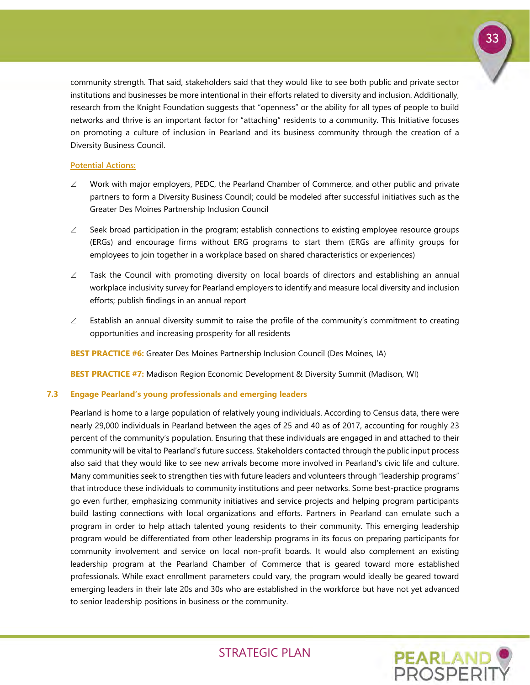

community strength. That said, stakeholders said that they would like to see both public and private sector institutions and businesses be more intentional in their efforts related to diversity and inclusion. Additionally, research from the Knight Foundation suggests that "openness" or the ability for all types of people to build networks and thrive is an important factor for "attaching" residents to a community. This Initiative focuses on promoting a culture of inclusion in Pearland and its business community through the creation of a Diversity Business Council.

### **Potential Actions:**

- $\angle$  Work with major employers, PEDC, the Pearland Chamber of Commerce, and other public and private partners to form a Diversity Business Council; could be modeled after successful initiatives such as the Greater Des Moines Partnership Inclusion Council
- $\angle$  Seek broad participation in the program; establish connections to existing employee resource groups (ERGs) and encourage firms without ERG programs to start them (ERGs are affinity groups for employees to join together in a workplace based on shared characteristics or experiences)
- ∠ Task the Council with promoting diversity on local boards of directors and establishing an annual workplace inclusivity survey for Pearland employers to identify and measure local diversity and inclusion efforts; publish findings in an annual report
- $\angle$  Establish an annual diversity summit to raise the profile of the community's commitment to creating opportunities and increasing prosperity for all residents

**BEST PRACTICE #6:** Greater Des Moines Partnership Inclusion Council (Des Moines, IA)

**BEST PRACTICE #7:** Madison Region Economic Development & Diversity Summit (Madison, WI)

### **7.3 Engage Pearland's young professionals and emerging leaders**

Pearland is home to a large population of relatively young individuals. According to Census data, there were nearly 29,000 individuals in Pearland between the ages of 25 and 40 as of 2017, accounting for roughly 23 percent of the community's population. Ensuring that these individuals are engaged in and attached to their community will be vital to Pearland's future success. Stakeholders contacted through the public input process also said that they would like to see new arrivals become more involved in Pearland's civic life and culture. Many communities seek to strengthen ties with future leaders and volunteers through "leadership programs" that introduce these individuals to community institutions and peer networks. Some best-practice programs go even further, emphasizing community initiatives and service projects and helping program participants build lasting connections with local organizations and efforts. Partners in Pearland can emulate such a program in order to help attach talented young residents to their community. This emerging leadership program would be differentiated from other leadership programs in its focus on preparing participants for community involvement and service on local non-profit boards. It would also complement an existing leadership program at the Pearland Chamber of Commerce that is geared toward more established professionals. While exact enrollment parameters could vary, the program would ideally be geared toward emerging leaders in their late 20s and 30s who are established in the workforce but have not yet advanced to senior leadership positions in business or the community.

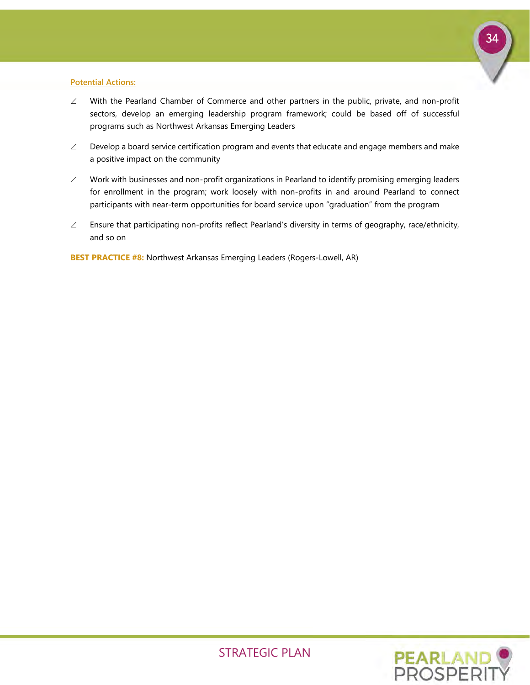

### **Potential Actions:**

- ∠ With the Pearland Chamber of Commerce and other partners in the public, private, and non-profit sectors, develop an emerging leadership program framework; could be based off of successful programs such as Northwest Arkansas Emerging Leaders
- $\angle$  Develop a board service certification program and events that educate and engage members and make a positive impact on the community
- ∠ Work with businesses and non-profit organizations in Pearland to identify promising emerging leaders for enrollment in the program; work loosely with non-profits in and around Pearland to connect participants with near-term opportunities for board service upon "graduation" from the program
- ∠ Ensure that participating non-profits reflect Pearland's diversity in terms of geography, race/ethnicity, and so on

**BEST PRACTICE #8:** Northwest Arkansas Emerging Leaders (Rogers-Lowell, AR)

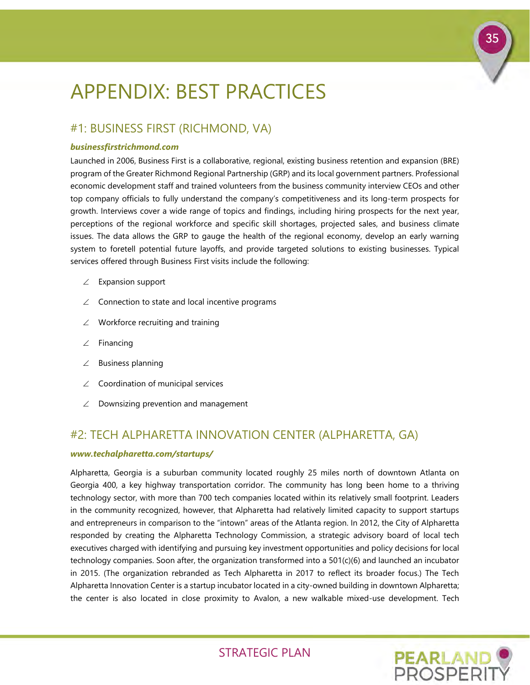# <span id="page-36-0"></span>APPENDIX: BEST PRACTICES

### #1: BUSINESS FIRST (RICHMOND, VA)

### *businessfirstrichmond.com*

Launched in 2006, Business First is a collaborative, regional, existing business retention and expansion (BRE) program of the Greater Richmond Regional Partnership (GRP) and its local government partners. Professional economic development staff and trained volunteers from the business community interview CEOs and other top company officials to fully understand the company's competitiveness and its long-term prospects for growth. Interviews cover a wide range of topics and findings, including hiring prospects for the next year, perceptions of the regional workforce and specific skill shortages, projected sales, and business climate issues. The data allows the GRP to gauge the health of the regional economy, develop an early warning system to foretell potential future layoffs, and provide targeted solutions to existing businesses. Typical services offered through Business First visits include the following:

- ∠ Expansion support
- ∠ Connection to state and local incentive programs
- ∠ Workforce recruiting and training
- ∠ Financing
- ∠ Business planning
- ∠ Coordination of municipal services
- ∠ Downsizing prevention and management

### #2: TECH ALPHARETTA INNOVATION CENTER (ALPHARETTA, GA)

### *www.techalpharetta.com/startups/*

Alpharetta, Georgia is a suburban community located roughly 25 miles north of downtown Atlanta on Georgia 400, a key highway transportation corridor. The community has long been home to a thriving technology sector, with more than 700 tech companies located within its relatively small footprint. Leaders in the community recognized, however, that Alpharetta had relatively limited capacity to support startups and entrepreneurs in comparison to the "intown" areas of the Atlanta region. In 2012, the City of Alpharetta responded by creating the Alpharetta Technology Commission, a strategic advisory board of local tech executives charged with identifying and pursuing key investment opportunities and policy decisions for local technology companies. Soon after, the organization transformed into a 501(c)(6) and launched an incubator in 2015. (The organization rebranded as Tech Alpharetta in 2017 to reflect its broader focus.) The Tech Alpharetta Innovation Center is a startup incubator located in a city-owned building in downtown Alpharetta; the center is also located in close proximity to Avalon, a new walkable mixed-use development. Tech



35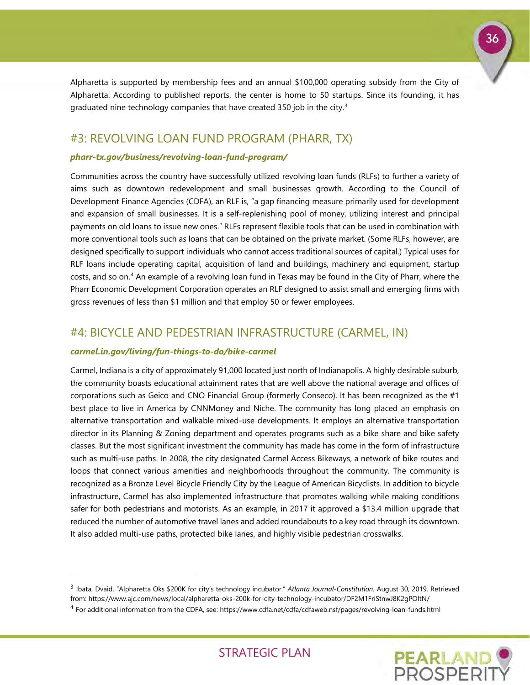

Alpharetta is supported by membership fees and an annual \$100,000 operating subsidy from the City of Alpharetta. According to published reports, the center is home to 50 startups. Since its founding, it has graduated nine technology companies that have created [3](#page-37-0)50 job in the city.<sup>3</sup>

### #3: REVOLVING LOAN FUND PROGRAM (PHARR, TX)

### *pharr-tx.gov/business/revolving-loan-fund-program/*

Communities across the country have successfully utilized revolving loan funds (RLFs) to further a variety of aims such as downtown redevelopment and small businesses growth. According to the Council of Development Finance Agencies (CDFA), an RLF is, "a gap financing measure primarily used for development and expansion of small businesses. It is a self-replenishing pool of money, utilizing interest and principal payments on old loans to issue new ones." RLFs represent flexible tools that can be used in combination with more conventional tools such as loans that can be obtained on the private market. (Some RLFs, however, are designed specifically to support individuals who cannot access traditional sources of capital.) Typical uses for RLF loans include operating capital, acquisition of land and buildings, machinery and equipment, startup costs, and so on.[4](#page-37-1) An example of a revolving loan fund in Texas may be found in the City of Pharr, where the Pharr Economic Development Corporation operates an RLF designed to assist small and emerging firms with gross revenues of less than \$1 million and that employ 50 or fewer employees.

### #4: BICYCLE AND PEDESTRIAN INFRASTRUCTURE (CARMEL, IN)

### *carmel.in.gov/living/fun-things-to-do/bike-carmel*

-

Carmel, Indiana is a city of approximately 91,000 located just north of Indianapolis. A highly desirable suburb, the community boasts educational attainment rates that are well above the national average and offices of corporations such as Geico and CNO Financial Group (formerly Conseco). It has been recognized as the #1 best place to live in America by CNNMoney and Niche. The community has long placed an emphasis on alternative transportation and walkable mixed-use developments. It employs an alternative transportation director in its Planning & Zoning department and operates programs such as a bike share and bike safety classes. But the most significant investment the community has made has come in the form of infrastructure such as multi-use paths. In 2008, the city designated Carmel Access Bikeways, a network of bike routes and loops that connect various amenities and neighborhoods throughout the community. The community is recognized as a Bronze Level Bicycle Friendly City by the League of American Bicyclists. In addition to bicycle infrastructure, Carmel has also implemented infrastructure that promotes walking while making conditions safer for both pedestrians and motorists. As an example, in 2017 it approved a \$13.4 million upgrade that reduced the number of automotive travel lanes and added roundabouts to a key road through its downtown. It also added multi-use paths, protected bike lanes, and highly visible pedestrian crosswalks.

<span id="page-37-1"></span><sup>4</sup> For additional information from the CDFA, see: https://www.cdfa.net/cdfa/cdfaweb.nsf/pages/revolving-loan-funds.html



<span id="page-37-0"></span><sup>3</sup> Ibata, Dvaid. "Alpharetta Oks \$200K for city's technology incubator." *Atlanta Journal-Constitution.* August 30, 2019. Retrieved from: https://www.ajc.com/news/local/alpharetta-oks-200k-for-city-technology-incubator/DF2M1FriStnwJ8K2gPOltN/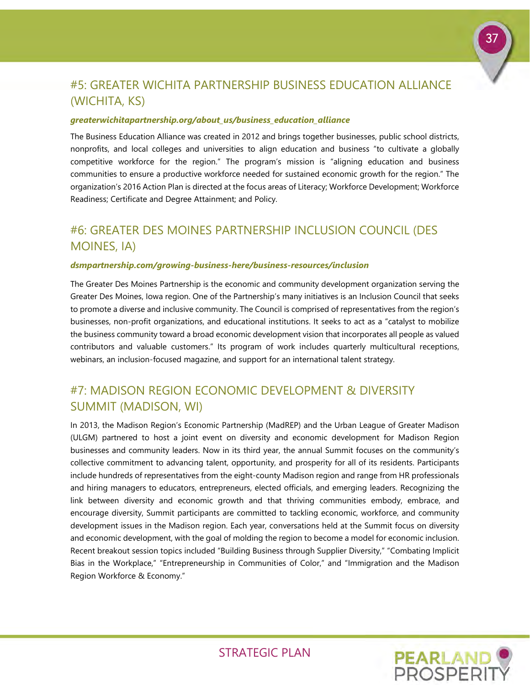

# #5: GREATER WICHITA PARTNERSHIP BUSINESS EDUCATION ALLIANCE (WICHITA, KS)

### *greaterwichitapartnership.org/about\_us/business\_education\_alliance*

The Business Education Alliance was created in 2012 and brings together businesses, public school districts, nonprofits, and local colleges and universities to align education and business "to cultivate a globally competitive workforce for the region." The program's mission is "aligning education and business communities to ensure a productive workforce needed for sustained economic growth for the region." The organization's 2016 Action Plan is directed at the focus areas of Literacy; Workforce Development; Workforce Readiness; Certificate and Degree Attainment; and Policy.

# #6: GREATER DES MOINES PARTNERSHIP INCLUSION COUNCIL (DES MOINES, IA)

### *dsmpartnership.com/growing-business-here/business-resources/inclusion*

The Greater Des Moines Partnership is the economic and community development organization serving the Greater Des Moines, Iowa region. One of the Partnership's many initiatives is an Inclusion Council that seeks to promote a diverse and inclusive community. The Council is comprised of representatives from the region's businesses, non-profit organizations, and educational institutions. It seeks to act as a "catalyst to mobilize the business community toward a broad economic development vision that incorporates all people as valued contributors and valuable customers." Its program of work includes quarterly multicultural receptions, webinars, an inclusion-focused magazine, and support for an international talent strategy.

### #7: MADISON REGION ECONOMIC DEVELOPMENT & DIVERSITY SUMMIT (MADISON, WI)

In 2013, the Madison Region's Economic Partnership (MadREP) and the Urban League of Greater Madison (ULGM) partnered to host a joint event on diversity and economic development for Madison Region businesses and community leaders. Now in its third year, the annual Summit focuses on the community's collective commitment to advancing talent, opportunity, and prosperity for all of its residents. Participants include hundreds of representatives from the eight-county Madison region and range from HR professionals and hiring managers to educators, entrepreneurs, elected officials, and emerging leaders. Recognizing the link between diversity and economic growth and that thriving communities embody, embrace, and encourage diversity, Summit participants are committed to tackling economic, workforce, and community development issues in the Madison region. Each year, conversations held at the Summit focus on diversity and economic development, with the goal of molding the region to become a model for economic inclusion. Recent breakout session topics included "Building Business through Supplier Diversity," "Combating Implicit Bias in the Workplace," "Entrepreneurship in Communities of Color," and "Immigration and the Madison Region Workforce & Economy."

**PEARLAND**<br>PROSPERIT